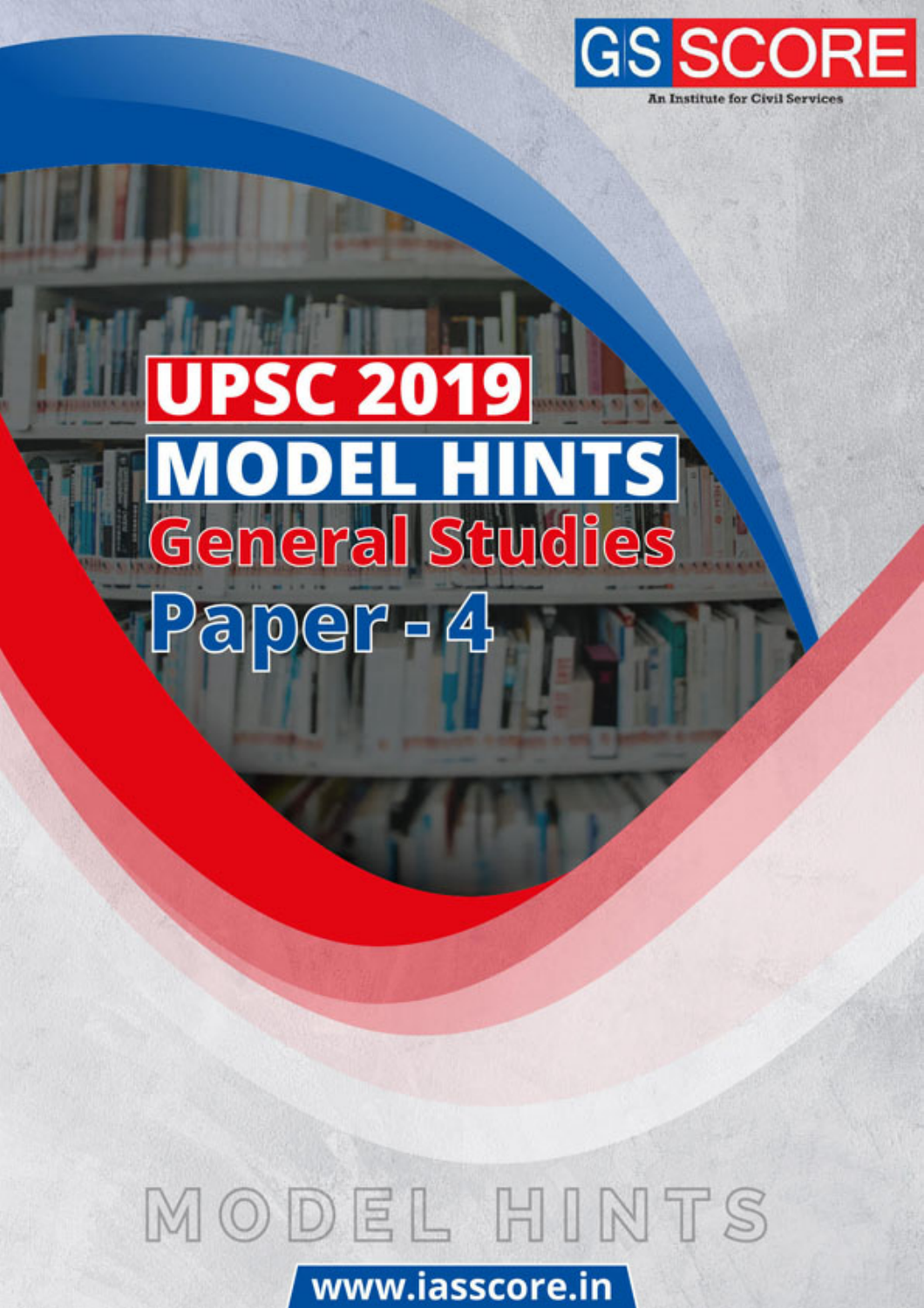

# **UPSC 2019 MODEL HINTS**<br>General Studies  $P$ aper - 4

# MODEL HINTS www.iasscore.in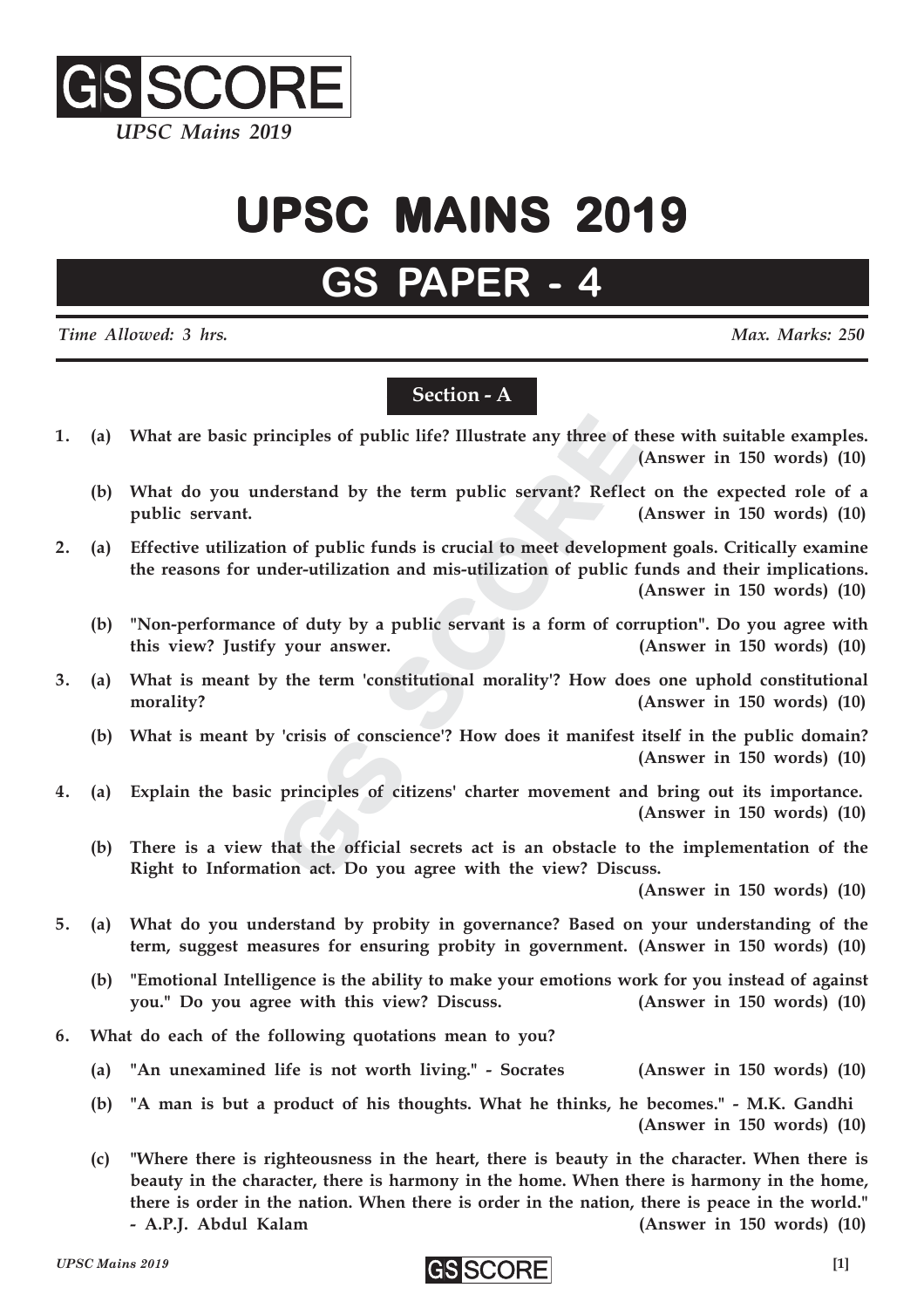

# **UPSC MAINS 2019 UPSC MAINS 2019**

### **GS PAP**

*Time Allowed: 3 hrs. Max. Marks: 250*

#### **Section - A**

- **1. (a) What are basic principles of public life? Illustrate any three of these with suitable examples. (Answer in 150 words) (10)**
	- **(b) What do you understand by the term public servant? Reflect on the expected role of a public servant. (Answer in 150 words) (10)**
- inciples of public life? Illustrate any three of<br>derstand by the term public servant? Reflee<br>on of public funds is crucial to meet developm<br>nder-utilization and mis-utilization of public<br>e of duty by a public servant is a inciples of public life? Illustrate any three of the<br>stand by the term public servant? Reflectors<br>and the term public servant? Reflectors<br>and mis-utilization of public f<br>inder-utilization and mis-utilization of public f<br>in **2. (a) Effective utilization of public funds is crucial to meet development goals. Critically examine the reasons for under-utilization and mis-utilization of public funds and their implications. (Answer in 150 words) (10)**
	- **(b) "Non-performance of duty by a public servant is a form of corruption". Do you agree with this view? Justify your answer. (Answer in 150 words) (10)**
- **3. (a) What is meant by the term 'constitutional morality'? How does one uphold constitutional morality?** (Answer in 150 words) (10)
	- **(b) What is meant by 'crisis of conscience'? How does it manifest itself in the public domain? (Answer in 150 words) (10)**
- **4. (a) Explain the basic principles of citizens' charter movement and bring out its importance. (Answer in 150 words) (10)**
	- **(b) There is a view that the official secrets act is an obstacle to the implementation of the Right to Information act. Do you agree with the view? Discuss.**

**(Answer in 150 words) (10)**

- **5. (a) What do you understand by probity in governance? Based on your understanding of the term, suggest measures for ensuring probity in government. (Answer in 150 words) (10)**
	- **(b) "Emotional Intelligence is the ability to make your emotions work for you instead of against you." Do you agree with this view? Discuss. (Answer in 150 words) (10)**
- **6. What do each of the following quotations mean to you?**
	- **(a) "An unexamined life is not worth living." Socrates (Answer in 150 words) (10)**
	- **(b) "A man is but a product of his thoughts. What he thinks, he becomes." M.K. Gandhi (Answer in 150 words) (10)**
	- **(c) "Where there is righteousness in the heart, there is beauty in the character. When there is beauty in the character, there is harmony in the home. When there is harmony in the home, there is order in the nation. When there is order in the nation, there is peace in the world." - A.P.J. Abdul Kalam (Answer in 150 words) (10)**

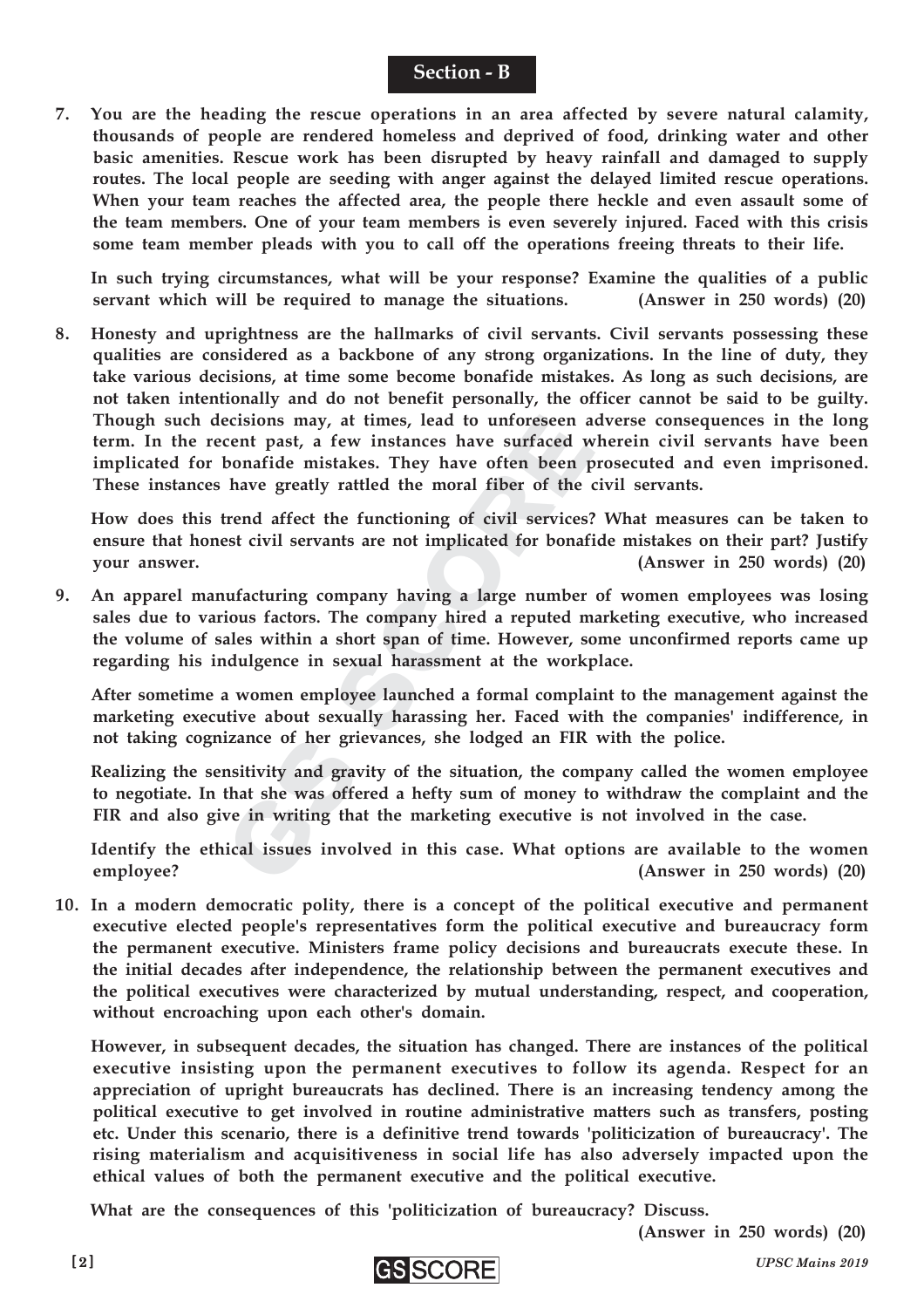#### **Section - B**

**7. You are the heading the rescue operations in an area affected by severe natural calamity, thousands of people are rendered homeless and deprived of food, drinking water and other basic amenities. Rescue work has been disrupted by heavy rainfall and damaged to supply routes. The local people are seeding with anger against the delayed limited rescue operations. When your team reaches the affected area, the people there heckle and even assault some of the team members. One of your team members is even severely injured. Faced with this crisis some team member pleads with you to call off the operations freeing threats to their life.**

**In such trying circumstances, what will be your response? Examine the qualities of a public servant which will be required to manage the situations. (Answer in 250 words) (20)**

**8. Honesty and uprightness are the hallmarks of civil servants. Civil servants possessing these qualities are considered as a backbone of any strong organizations. In the line of duty, they take various decisions, at time some become bonafide mistakes. As long as such decisions, are not taken intentionally and do not benefit personally, the officer cannot be said to be guilty. Though such decisions may, at times, lead to unforeseen adverse consequences in the long term. In the recent past, a few instances have surfaced wherein civil servants have been implicated for bonafide mistakes. They have often been prosecuted and even imprisoned. These instances have greatly rattled the moral fiber of the civil servants.**

**How does this trend affect the functioning of civil services? What measures can be taken to ensure that honest civil servants are not implicated for bonafide mistakes on their part? Justify your answer. (Answer in 250 words) (20)**

cerisons may, at times, read to dimocescent past, a few instances have surfaced bonafide mistakes. They have often been have greatly rattled the moral fiber of the trend affect the functioning of civil services est civil s celesions may, at times, idea to dimotescent accent past, a few instances have surfaced v<br>bonafide mistakes. They have often been p<br>have greatly rattled the moral fiber of the<br>rend affect the functioning of civil services<br> **9. An apparel manufacturing company having a large number of women employees was losing sales due to various factors. The company hired a reputed marketing executive, who increased the volume of sales within a short span of time. However, some unconfirmed reports came up regarding his indulgence in sexual harassment at the workplace.**

**After sometime a women employee launched a formal complaint to the management against the marketing executive about sexually harassing her. Faced with the companies' indifference, in not taking cognizance of her grievances, she lodged an FIR with the police.**

**Realizing the sensitivity and gravity of the situation, the company called the women employee to negotiate. In that she was offered a hefty sum of money to withdraw the complaint and the FIR and also give in writing that the marketing executive is not involved in the case.**

**Identify the ethical issues involved in this case. What options are available to the women employee? (Answer in 250 words) (20)**

**10. In a modern democratic polity, there is a concept of the political executive and permanent executive elected people's representatives form the political executive and bureaucracy form the permanent executive. Ministers frame policy decisions and bureaucrats execute these. In the initial decades after independence, the relationship between the permanent executives and the political executives were characterized by mutual understanding, respect, and cooperation, without encroaching upon each other's domain.**

**However, in subsequent decades, the situation has changed. There are instances of the political executive insisting upon the permanent executives to follow its agenda. Respect for an appreciation of upright bureaucrats has declined. There is an increasing tendency among the political executive to get involved in routine administrative matters such as transfers, posting etc. Under this scenario, there is a definitive trend towards 'politicization of bureaucracy'. The rising materialism and acquisitiveness in social life has also adversely impacted upon the ethical values of both the permanent executive and the political executive.**

**What are the consequences of this 'politicization of bureaucracy? Discuss.**

**(Answer in 250 words) (20)**

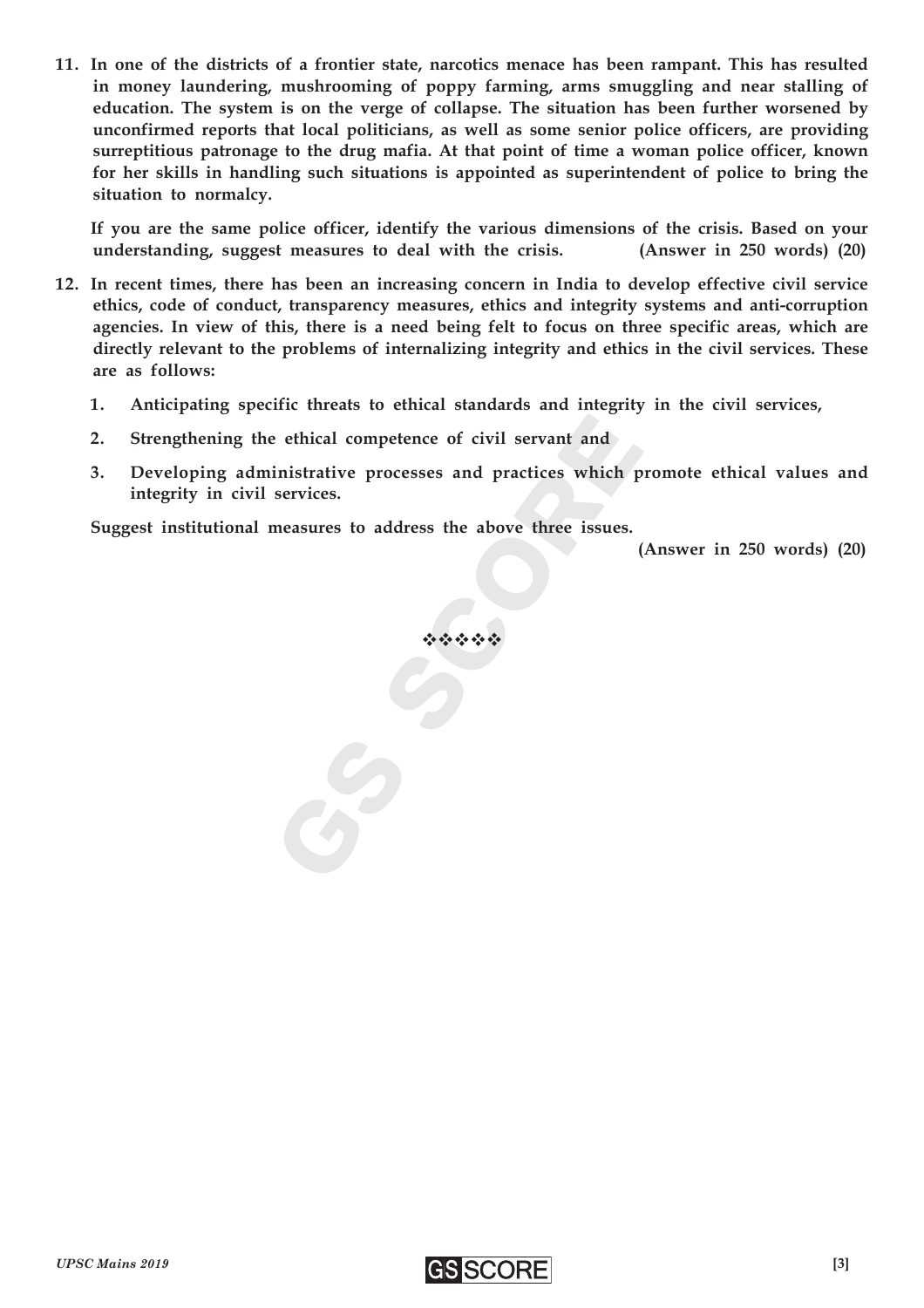**11. In one of the districts of a frontier state, narcotics menace has been rampant. This has resulted in money laundering, mushrooming of poppy farming, arms smuggling and near stalling of education. The system is on the verge of collapse. The situation has been further worsened by unconfirmed reports that local politicians, as well as some senior police officers, are providing surreptitious patronage to the drug mafia. At that point of time a woman police officer, known for her skills in handling such situations is appointed as superintendent of police to bring the situation to normalcy.**

**If you are the same police officer, identify the various dimensions of the crisis. Based on your understanding, suggest measures to deal with the crisis. (Answer in 250 words) (20)**

- **12. In recent times, there has been an increasing concern in India to develop effective civil service ethics, code of conduct, transparency measures, ethics and integrity systems and anti-corruption agencies. In view of this, there is a need being felt to focus on three specific areas, which are directly relevant to the problems of internalizing integrity and ethics in the civil services. These are as follows:**
	- **1. Anticipating specific threats to ethical standards and integrity in the civil services,**
	- **2. Strengthening the ethical competence of civil servant and**
	- e ethical competence of civil servant and<br>inistrative processes and practices which<br>services.<br>measures to address the above three issues.<br> $\hat{\cdot}\hat{\cdot}\hat{\cdot}\hat{\cdot}\hat{\cdot}\hat{\cdot}\hat{\cdot}$ e thical competence of civil servant and<br>inistrative processes and practices which provides.<br>Reasures to address the above three issues.<br> $\therefore$ **3. Developing administrative processes and practices which promote ethical values and integrity in civil services.**

**Suggest institutional measures to address the above three issues.**

**(Answer in 250 words) (20)**

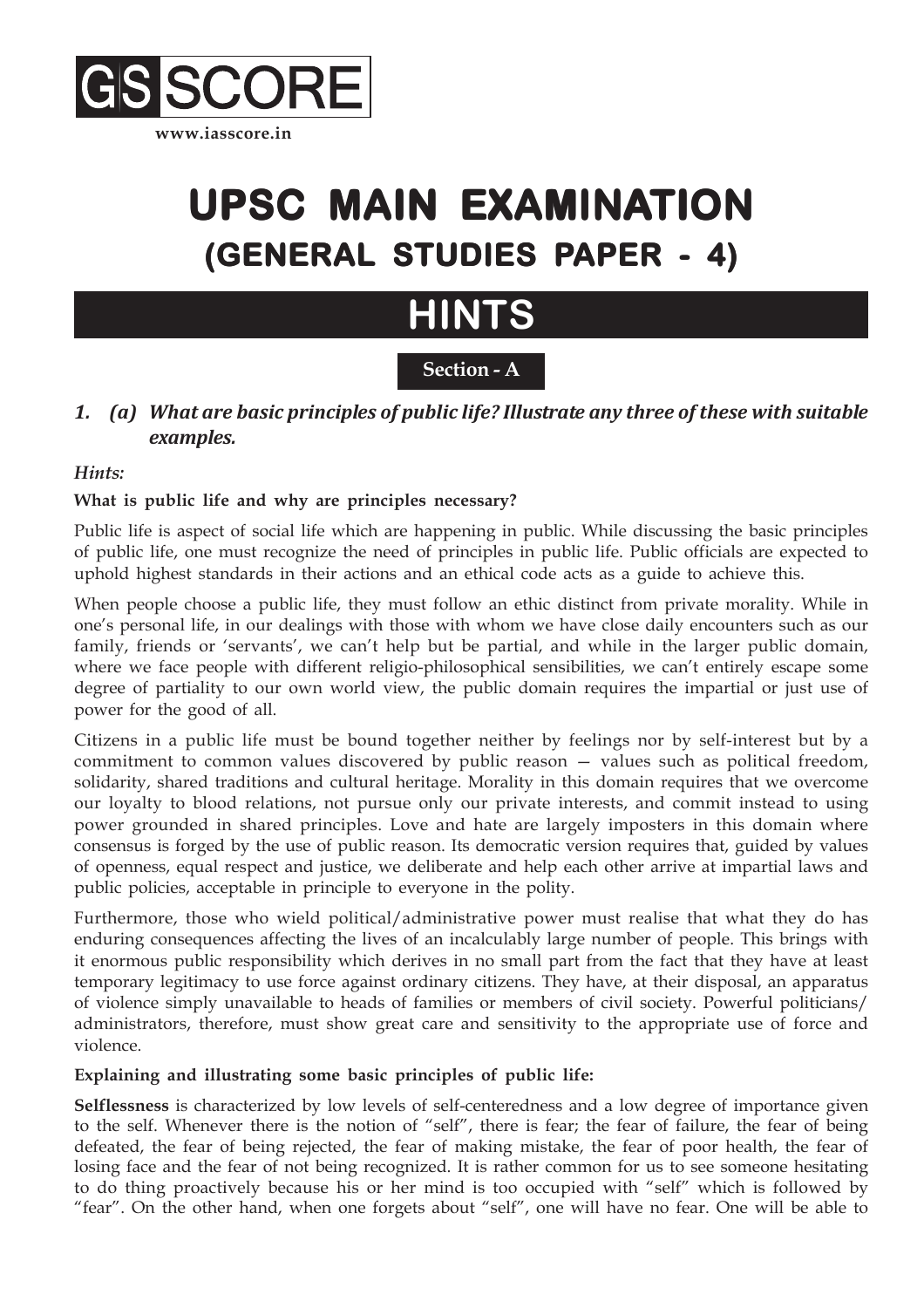

## **UPSC MAIN EXAMIN UPSC MAIN EXAMINATION (GENERAL STUDIES PAPER - 4)**

### **HINTS**

#### **Section - A**

#### *1. (a) What are basic principles of public life? Illustrate any three of these with suitable examples.*

#### *Hints:*

#### **What is public life and why are principles necessary?**

Public life is aspect of social life which are happening in public. While discussing the basic principles of public life, one must recognize the need of principles in public life. Public officials are expected to uphold highest standards in their actions and an ethical code acts as a guide to achieve this.

When people choose a public life, they must follow an ethic distinct from private morality. While in one's personal life, in our dealings with those with whom we have close daily encounters such as our family, friends or 'servants', we can't help but be partial, and while in the larger public domain, where we face people with different religio-philosophical sensibilities, we can't entirely escape some degree of partiality to our own world view, the public domain requires the impartial or just use of power for the good of all.

Citizens in a public life must be bound together neither by feelings nor by self-interest but by a commitment to common values discovered by public reason — values such as political freedom, solidarity, shared traditions and cultural heritage. Morality in this domain requires that we overcome our loyalty to blood relations, not pursue only our private interests, and commit instead to using power grounded in shared principles. Love and hate are largely imposters in this domain where consensus is forged by the use of public reason. Its democratic version requires that, guided by values of openness, equal respect and justice, we deliberate and help each other arrive at impartial laws and public policies, acceptable in principle to everyone in the polity.

Furthermore, those who wield political/administrative power must realise that what they do has enduring consequences affecting the lives of an incalculably large number of people. This brings with it enormous public responsibility which derives in no small part from the fact that they have at least temporary legitimacy to use force against ordinary citizens. They have, at their disposal, an apparatus of violence simply unavailable to heads of families or members of civil society. Powerful politicians/ administrators, therefore, must show great care and sensitivity to the appropriate use of force and violence.

#### **Explaining and illustrating some basic principles of public life:**

**Selflessness** is characterized by low levels of self-centeredness and a low degree of importance given to the self. Whenever there is the notion of "self", there is fear; the fear of failure, the fear of being defeated, the fear of being rejected, the fear of making mistake, the fear of poor health, the fear of losing face and the fear of not being recognized. It is rather common for us to see someone hesitating to do thing proactively because his or her mind is too occupied with "self" which is followed by "fear". On the other hand, when one forgets about "self", one will have no fear. One will be able to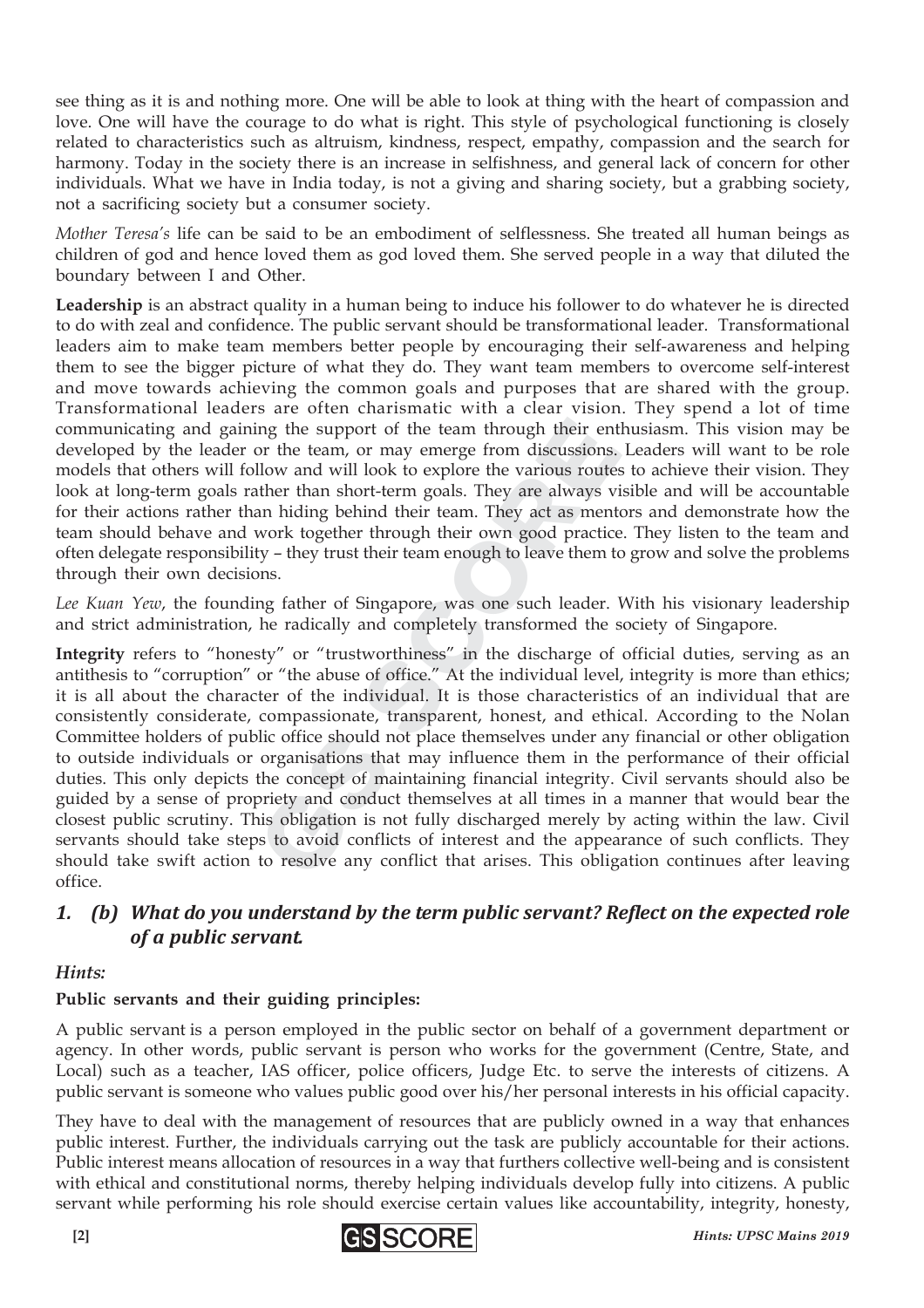see thing as it is and nothing more. One will be able to look at thing with the heart of compassion and love. One will have the courage to do what is right. This style of psychological functioning is closely related to characteristics such as altruism, kindness, respect, empathy, compassion and the search for harmony. Today in the society there is an increase in selfishness, and general lack of concern for other individuals. What we have in India today, is not a giving and sharing society, but a grabbing society, not a sacrificing society but a consumer society.

*Mother Teresa's* life can be said to be an embodiment of selflessness. She treated all human beings as children of god and hence loved them as god loved them. She served people in a way that diluted the boundary between I and Other.

**Leadership** is an abstract quality in a human being to induce his follower to do whatever he is directed to do with zeal and confidence. The public servant should be transformational leader. Transformational leaders aim to make team members better people by encouraging their self-awareness and helping them to see the bigger picture of what they do. They want team members to overcome self-interest and move towards achieving the common goals and purposes that are shared with the group. Transformational leaders are often charismatic with a clear vision. They spend a lot of time communicating and gaining the support of the team through their enthusiasm. This vision may be developed by the leader or the team, or may emerge from discussions. Leaders will want to be role models that others will follow and will look to explore the various routes to achieve their vision. They look at long-term goals rather than short-term goals. They are always visible and will be accountable for their actions rather than hiding behind their team. They act as mentors and demonstrate how the team should behave and work together through their own good practice. They listen to the team and often delegate responsibility – they trust their team enough to leave them to grow and solve the problems through their own decisions.

*Lee Kuan Yew*, the founding father of Singapore, was one such leader. With his visionary leadership and strict administration, he radically and completely transformed the society of Singapore.

ing the support of the team through their en<br>or the team, or may emerge from discussions<br>llow and will look to explore the various route<br>ther than short-term goals. They are always v<br>an hiding behind their team. They act a ny the support of the team through their ent<br>or the team, or may emerge from discussions,<br>llow and will look to explore the various route<br>ther than short-term goals. They are always v<br>an hiding behind their team. They act **Integrity** refers to "honesty" or "trustworthiness" in the discharge of official duties, serving as an antithesis to "corruption" or "the abuse of office." At the individual level, integrity is more than ethics; it is all about the character of the individual. It is those characteristics of an individual that are consistently considerate, compassionate, transparent, honest, and ethical. According to the Nolan Committee holders of public office should not place themselves under any financial or other obligation to outside individuals or organisations that may influence them in the performance of their official duties. This only depicts the concept of maintaining financial integrity. Civil servants should also be guided by a sense of propriety and conduct themselves at all times in a manner that would bear the closest public scrutiny. This obligation is not fully discharged merely by acting within the law. Civil servants should take steps to avoid conflicts of interest and the appearance of such conflicts. They should take swift action to resolve any conflict that arises. This obligation continues after leaving office.

#### *1. (b) What do you understand by the term public servant? Reflect on the expected role of a public servant.*

#### *Hints:*

#### **Public servants and their guiding principles:**

A public servant is a person employed in the public sector on behalf of a government department or agency. In other words, public servant is person who works for the government (Centre, State, and Local) such as a teacher, IAS officer, police officers, Judge Etc. to serve the interests of citizens. A public servant is someone who values public good over his/her personal interests in his official capacity.

They have to deal with the management of resources that are publicly owned in a way that enhances public interest. Further, the individuals carrying out the task are publicly accountable for their actions. Public interest means allocation of resources in a way that furthers collective well-being and is consistent with ethical and constitutional norms, thereby helping individuals develop fully into citizens. A public servant while performing his role should exercise certain values like accountability, integrity, honesty,

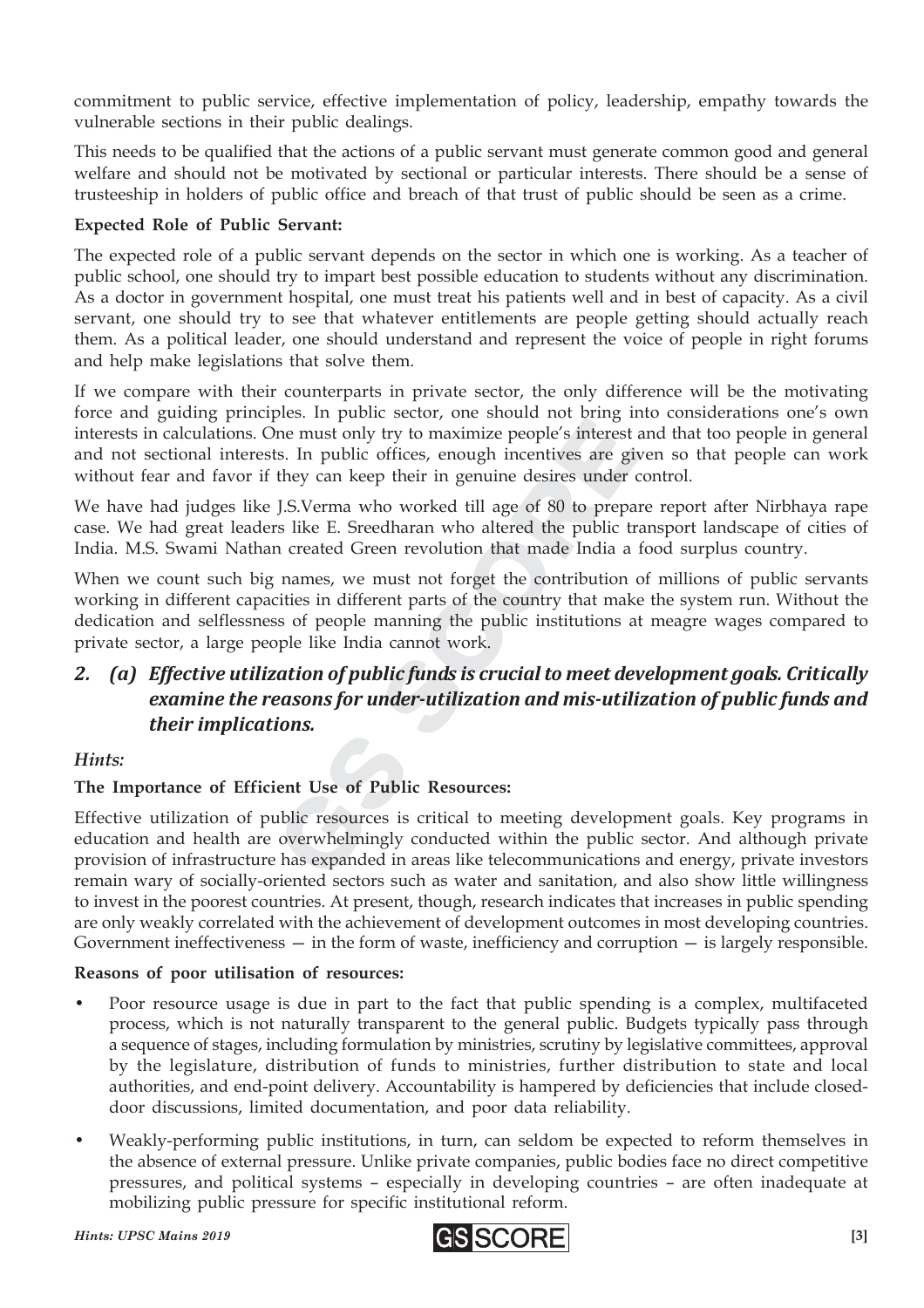commitment to public service, effective implementation of policy, leadership, empathy towards the vulnerable sections in their public dealings.

This needs to be qualified that the actions of a public servant must generate common good and general welfare and should not be motivated by sectional or particular interests. There should be a sense of trusteeship in holders of public office and breach of that trust of public should be seen as a crime.

#### **Expected Role of Public Servant:**

The expected role of a public servant depends on the sector in which one is working. As a teacher of public school, one should try to impart best possible education to students without any discrimination. As a doctor in government hospital, one must treat his patients well and in best of capacity. As a civil servant, one should try to see that whatever entitlements are people getting should actually reach them. As a political leader, one should understand and represent the voice of people in right forums and help make legislations that solve them.

If we compare with their counterparts in private sector, the only difference will be the motivating force and guiding principles. In public sector, one should not bring into considerations one's own interests in calculations. One must only try to maximize people's interest and that too people in general and not sectional interests. In public offices, enough incentives are given so that people can work without fear and favor if they can keep their in genuine desires under control.

We have had judges like J.S.Verma who worked till age of 80 to prepare report after Nirbhaya rape case. We had great leaders like E. Sreedharan who altered the public transport landscape of cities of India. M.S. Swami Nathan created Green revolution that made India a food surplus country.

The must only try to maximize people's interests.<br>In public offices, enough incentives are g<br>they can keep their in genuine desires under<br>J.S.Verma who worked till age of 80 to preparently<br>in created Green revolution that ne must only try to maximize people's interest<br>s. In public offices, enough incentives are gi<br>they can keep their in genuine desires under<br>J.S.Verma who worked till age of 80 to prepa<br>s like E. Sreedharan who altered the p When we count such big names, we must not forget the contribution of millions of public servants working in different capacities in different parts of the country that make the system run. Without the dedication and selflessness of people manning the public institutions at meagre wages compared to private sector, a large people like India cannot work.

#### *2. (a) Effective utilization of public funds is crucial to meet development goals. Critically examine the reasons for under-utilization and mis-utilization of public funds and their implications.*

#### *Hints:*

#### **The Importance of Efficient Use of Public Resources:**

Effective utilization of public resources is critical to meeting development goals. Key programs in education and health are overwhelmingly conducted within the public sector. And although private provision of infrastructure has expanded in areas like telecommunications and energy, private investors remain wary of socially-oriented sectors such as water and sanitation, and also show little willingness to invest in the poorest countries. At present, though, research indicates that increases in public spending are only weakly correlated with the achievement of development outcomes in most developing countries. Government ineffectiveness  $-$  in the form of waste, inefficiency and corruption  $-$  is largely responsible.

#### **Reasons of poor utilisation of resources:**

- Poor resource usage is due in part to the fact that public spending is a complex, multifaceted process, which is not naturally transparent to the general public. Budgets typically pass through a sequence of stages, including formulation by ministries, scrutiny by legislative committees, approval by the legislature, distribution of funds to ministries, further distribution to state and local authorities, and end-point delivery. Accountability is hampered by deficiencies that include closeddoor discussions, limited documentation, and poor data reliability.
- Weakly-performing public institutions, in turn, can seldom be expected to reform themselves in the absence of external pressure. Unlike private companies, public bodies face no direct competitive pressures, and political systems – especially in developing countries – are often inadequate at mobilizing public pressure for specific institutional reform.

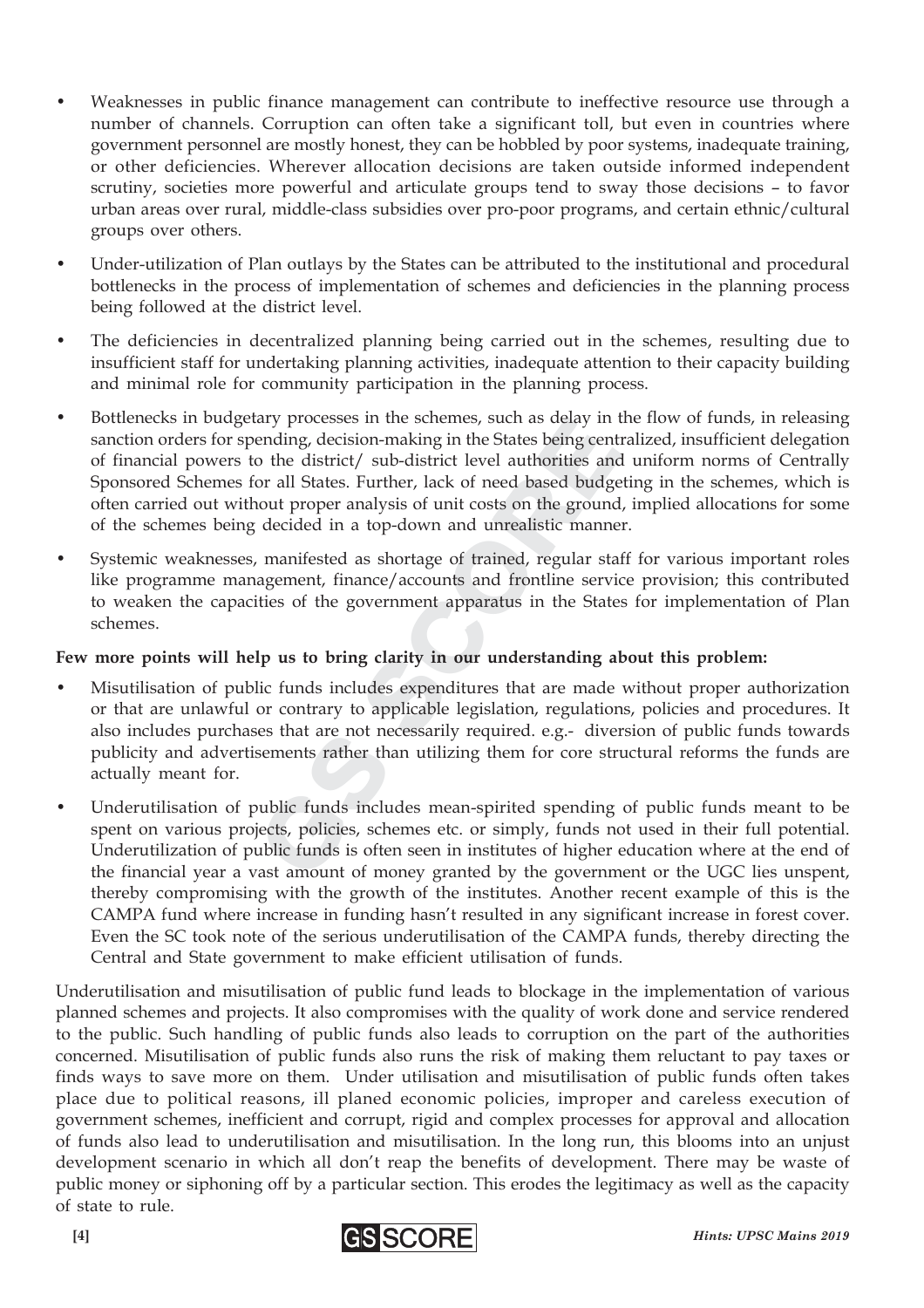- Weaknesses in public finance management can contribute to ineffective resource use through a number of channels. Corruption can often take a significant toll, but even in countries where government personnel are mostly honest, they can be hobbled by poor systems, inadequate training, or other deficiencies. Wherever allocation decisions are taken outside informed independent scrutiny, societies more powerful and articulate groups tend to sway those decisions – to favor urban areas over rural, middle-class subsidies over pro-poor programs, and certain ethnic/cultural groups over others.
- Under-utilization of Plan outlays by the States can be attributed to the institutional and procedural bottlenecks in the process of implementation of schemes and deficiencies in the planning process being followed at the district level.
- The deficiencies in decentralized planning being carried out in the schemes, resulting due to insufficient staff for undertaking planning activities, inadequate attention to their capacity building and minimal role for community participation in the planning process.
- ending, decision-making in the States being cen<br>o the district/ sub-district level authorities an<br>or all States. Further, lack of need based budg<br>nout proper analysis of unit costs on the groun-<br>decided in a top-down and u ending, decision-making in the States being centived by the district/sub-district level authorities and or all States. Further, lack of need based budge out proper analysis of unit costs on the ground decided in a top-down • Bottlenecks in budgetary processes in the schemes, such as delay in the flow of funds, in releasing sanction orders for spending, decision-making in the States being centralized, insufficient delegation of financial powers to the district/ sub-district level authorities and uniform norms of Centrally Sponsored Schemes for all States. Further, lack of need based budgeting in the schemes, which is often carried out without proper analysis of unit costs on the ground, implied allocations for some of the schemes being decided in a top-down and unrealistic manner.
- Systemic weaknesses, manifested as shortage of trained, regular staff for various important roles like programme management, finance/accounts and frontline service provision; this contributed to weaken the capacities of the government apparatus in the States for implementation of Plan schemes.

#### **Few more points will help us to bring clarity in our understanding about this problem:**

- Misutilisation of public funds includes expenditures that are made without proper authorization or that are unlawful or contrary to applicable legislation, regulations, policies and procedures. It also includes purchases that are not necessarily required. e.g.- diversion of public funds towards publicity and advertisements rather than utilizing them for core structural reforms the funds are actually meant for.
- Underutilisation of public funds includes mean-spirited spending of public funds meant to be spent on various projects, policies, schemes etc. or simply, funds not used in their full potential. Underutilization of public funds is often seen in institutes of higher education where at the end of the financial year a vast amount of money granted by the government or the UGC lies unspent, thereby compromising with the growth of the institutes. Another recent example of this is the CAMPA fund where increase in funding hasn't resulted in any significant increase in forest cover. Even the SC took note of the serious underutilisation of the CAMPA funds, thereby directing the Central and State government to make efficient utilisation of funds.

Underutilisation and misutilisation of public fund leads to blockage in the implementation of various planned schemes and projects. It also compromises with the quality of work done and service rendered to the public. Such handling of public funds also leads to corruption on the part of the authorities concerned. Misutilisation of public funds also runs the risk of making them reluctant to pay taxes or finds ways to save more on them. Under utilisation and misutilisation of public funds often takes place due to political reasons, ill planed economic policies, improper and careless execution of government schemes, inefficient and corrupt, rigid and complex processes for approval and allocation of funds also lead to underutilisation and misutilisation. In the long run, this blooms into an unjust development scenario in which all don't reap the benefits of development. There may be waste of public money or siphoning off by a particular section. This erodes the legitimacy as well as the capacity of state to rule.

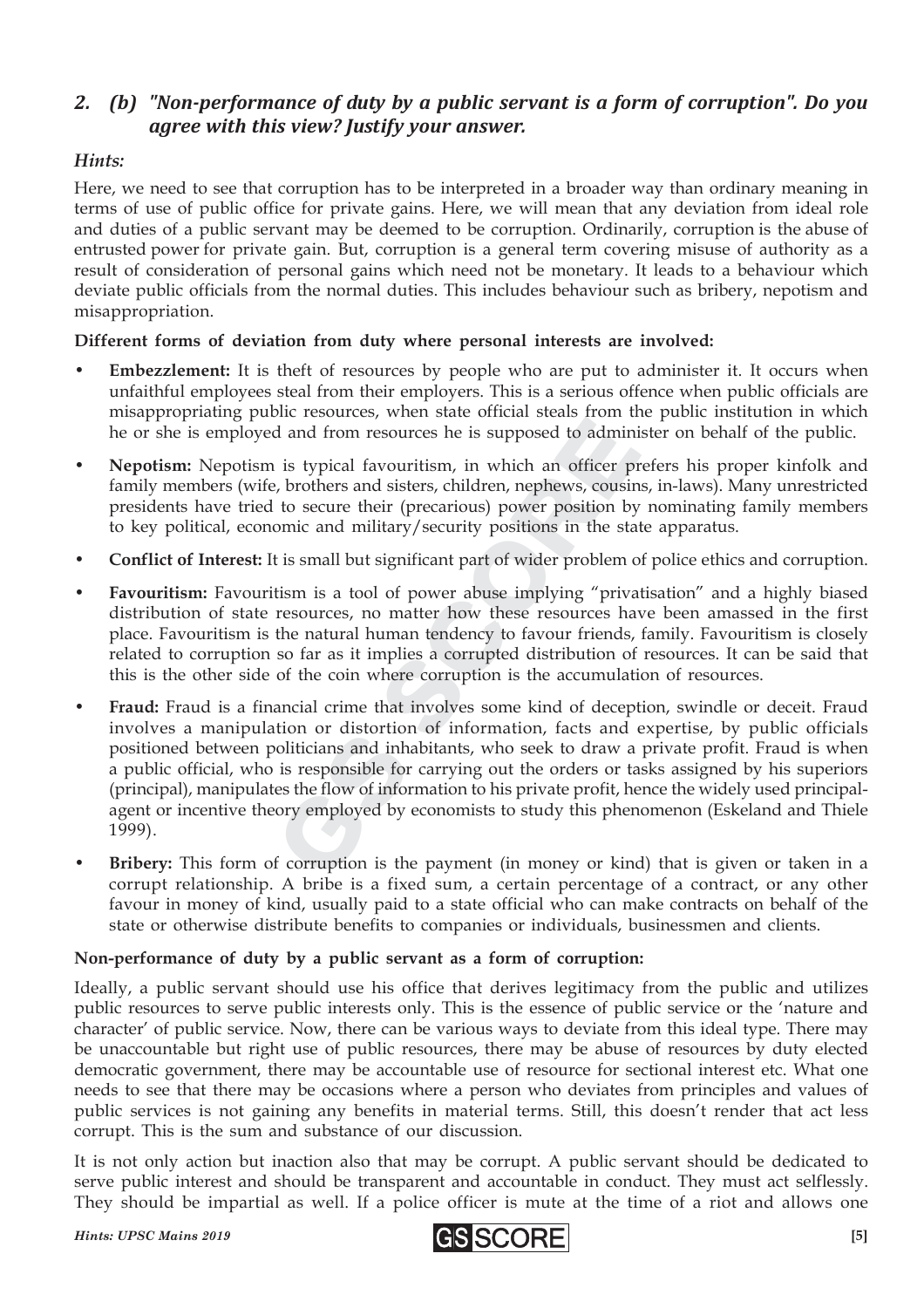#### *2. (b) "Non-performance of duty by a public servant is a form of corruption". Do you agree with this view? Justify your answer.*

#### *Hints:*

Here, we need to see that corruption has to be interpreted in a broader way than ordinary meaning in terms of use of public office for private gains. Here, we will mean that any deviation from ideal role and duties of a public servant may be deemed to be corruption. Ordinarily, corruption is the abuse of entrusted power for private gain. But, corruption is a general term covering misuse of authority as a result of consideration of personal gains which need not be monetary. It leads to a behaviour which deviate public officials from the normal duties. This includes behaviour such as bribery, nepotism and misappropriation.

#### **Different forms of deviation from duty where personal interests are involved:**

- **Embezzlement:** It is theft of resources by people who are put to administer it. It occurs when unfaithful employees steal from their employers. This is a serious offence when public officials are misappropriating public resources, when state official steals from the public institution in which he or she is employed and from resources he is supposed to administer on behalf of the public.
- **Nepotism:** Nepotism is typical favouritism, in which an officer prefers his proper kinfolk and family members (wife, brothers and sisters, children, nephews, cousins, in-laws). Many unrestricted presidents have tried to secure their (precarious) power position by nominating family members to key political, economic and military/security positions in the state apparatus.
- **Conflict of Interest:** It is small but significant part of wider problem of police ethics and corruption.
- **Favouritism:** Favouritism is a tool of power abuse implying "privatisation" and a highly biased distribution of state resources, no matter how these resources have been amassed in the first place. Favouritism is the natural human tendency to favour friends, family. Favouritism is closely related to corruption so far as it implies a corrupted distribution of resources. It can be said that this is the other side of the coin where corruption is the accumulation of resources.
- d and from resources he is supposed to admin<br>is typical favouritism, in which an officer p<br>e, brothers and sisters, children, nephews, cousi<br>to secure their (precarious) power position b<br>omic and military/security position If and from resources he is supposed to admin<br>is typical favouritism, in which an officer p<br>brothers and sisters, children, nephews, cousir<br>to secure their (precarious) power position by<br>omic and military/security position • **Fraud:** Fraud is a financial crime that involves some kind of deception, swindle or deceit. Fraud involves a manipulation or distortion of information, facts and expertise, by public officials positioned between politicians and inhabitants, who seek to draw a private profit. Fraud is when a public official, who is responsible for carrying out the orders or tasks assigned by his superiors (principal), manipulates the flow of information to his private profit, hence the widely used principalagent or incentive theory employed by economists to study this phenomenon (Eskeland and Thiele 1999).
- **Bribery:** This form of corruption is the payment (in money or kind) that is given or taken in a corrupt relationship. A bribe is a fixed sum, a certain percentage of a contract, or any other favour in money of kind, usually paid to a state official who can make contracts on behalf of the state or otherwise distribute benefits to companies or individuals, businessmen and clients.

#### **Non-performance of duty by a public servant as a form of corruption:**

Ideally, a public servant should use his office that derives legitimacy from the public and utilizes public resources to serve public interests only. This is the essence of public service or the 'nature and character' of public service. Now, there can be various ways to deviate from this ideal type. There may be unaccountable but right use of public resources, there may be abuse of resources by duty elected democratic government, there may be accountable use of resource for sectional interest etc. What one needs to see that there may be occasions where a person who deviates from principles and values of public services is not gaining any benefits in material terms. Still, this doesn't render that act less corrupt. This is the sum and substance of our discussion.

It is not only action but inaction also that may be corrupt. A public servant should be dedicated to serve public interest and should be transparent and accountable in conduct. They must act selflessly. They should be impartial as well. If a police officer is mute at the time of a riot and allows one

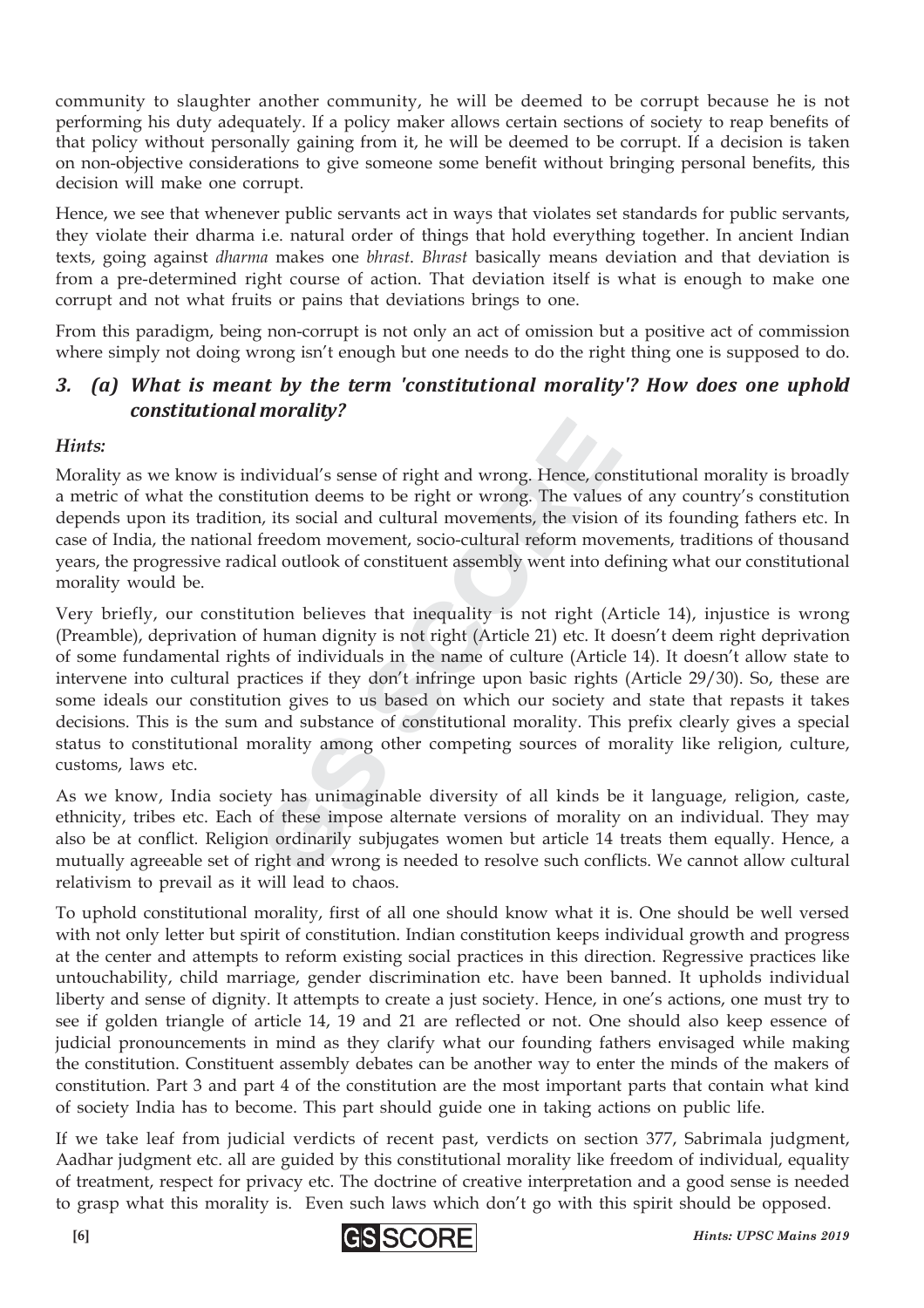community to slaughter another community, he will be deemed to be corrupt because he is not performing his duty adequately. If a policy maker allows certain sections of society to reap benefits of that policy without personally gaining from it, he will be deemed to be corrupt. If a decision is taken on non-objective considerations to give someone some benefit without bringing personal benefits, this decision will make one corrupt.

Hence, we see that whenever public servants act in ways that violates set standards for public servants, they violate their dharma i.e. natural order of things that hold everything together. In ancient Indian texts, going against *dharma* makes one *bhrast*. *Bhrast* basically means deviation and that deviation is from a pre-determined right course of action. That deviation itself is what is enough to make one corrupt and not what fruits or pains that deviations brings to one.

From this paradigm, being non-corrupt is not only an act of omission but a positive act of commission where simply not doing wrong isn't enough but one needs to do the right thing one is supposed to do.

#### *3. (a) What is meant by the term 'constitutional morality'? How does one uphold constitutional morality?*

#### *Hints:*

Morality as we know is individual's sense of right and wrong. Hence, constitutional morality is broadly a metric of what the constitution deems to be right or wrong. The values of any country's constitution depends upon its tradition, its social and cultural movements, the vision of its founding fathers etc. In case of India, the national freedom movement, socio-cultural reform movements, traditions of thousand years, the progressive radical outlook of constituent assembly went into defining what our constitutional morality would be.

dividual's sense of right and wrong. Hence, contitution deems to be right or wrong. The value<br>a, its social and cultural movements, the vision<br>freedom movement, socio-cultural reform mov<br>cal outlook of constituent assembly dividual's sense of right and wrong. Hence, contitution deems to be right or wrong. The values, it is social and cultural movements, the vision freedom movement, socio-cultural reform movial outlook of constituent assembly Very briefly, our constitution believes that inequality is not right (Article 14), injustice is wrong (Preamble), deprivation of human dignity is not right (Article 21) etc. It doesn't deem right deprivation of some fundamental rights of individuals in the name of culture (Article 14). It doesn't allow state to intervene into cultural practices if they don't infringe upon basic rights (Article 29/30). So, these are some ideals our constitution gives to us based on which our society and state that repasts it takes decisions. This is the sum and substance of constitutional morality. This prefix clearly gives a special status to constitutional morality among other competing sources of morality like religion, culture, customs, laws etc.

As we know, India society has unimaginable diversity of all kinds be it language, religion, caste, ethnicity, tribes etc. Each of these impose alternate versions of morality on an individual. They may also be at conflict. Religion ordinarily subjugates women but article 14 treats them equally. Hence, a mutually agreeable set of right and wrong is needed to resolve such conflicts. We cannot allow cultural relativism to prevail as it will lead to chaos.

To uphold constitutional morality, first of all one should know what it is. One should be well versed with not only letter but spirit of constitution. Indian constitution keeps individual growth and progress at the center and attempts to reform existing social practices in this direction. Regressive practices like untouchability, child marriage, gender discrimination etc. have been banned. It upholds individual liberty and sense of dignity. It attempts to create a just society. Hence, in one's actions, one must try to see if golden triangle of article 14, 19 and 21 are reflected or not. One should also keep essence of judicial pronouncements in mind as they clarify what our founding fathers envisaged while making the constitution. Constituent assembly debates can be another way to enter the minds of the makers of constitution. Part 3 and part 4 of the constitution are the most important parts that contain what kind of society India has to become. This part should guide one in taking actions on public life.

If we take leaf from judicial verdicts of recent past, verdicts on section 377, Sabrimala judgment, Aadhar judgment etc. all are guided by this constitutional morality like freedom of individual, equality of treatment, respect for privacy etc. The doctrine of creative interpretation and a good sense is needed to grasp what this morality is. Even such laws which don't go with this spirit should be opposed.

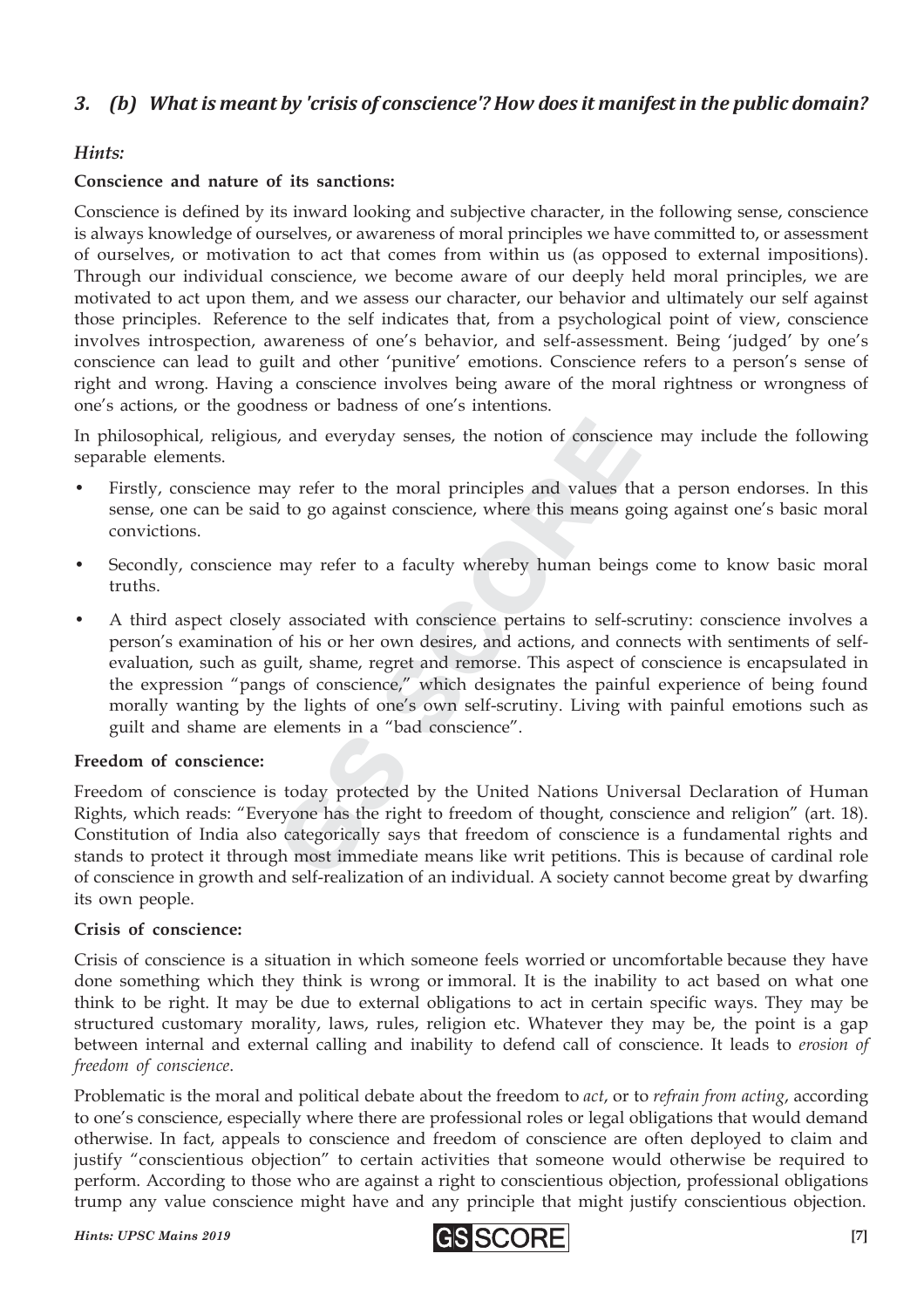#### *3. (b) What is meant by 'crisis of conscience'? How does it manifest in the public domain?*

#### *Hints:*

#### **Conscience and nature of its sanctions:**

Conscience is defined by its inward looking and subjective character, in the following sense, conscience is always knowledge of ourselves, or awareness of moral principles we have committed to, or assessment of ourselves, or motivation to act that comes from within us (as opposed to external impositions). Through our individual conscience, we become aware of our deeply held moral principles, we are motivated to act upon them, and we assess our character, our behavior and ultimately our self against those principles. Reference to the self indicates that, from a psychological point of view, conscience involves introspection, awareness of one's behavior, and self-assessment. Being 'judged' by one's conscience can lead to guilt and other 'punitive' emotions. Conscience refers to a person's sense of right and wrong. Having a conscience involves being aware of the moral rightness or wrongness of one's actions, or the goodness or badness of one's intentions.

In philosophical, religious, and everyday senses, the notion of conscience may include the following separable elements.

- Firstly, conscience may refer to the moral principles and values that a person endorses. In this sense, one can be said to go against conscience, where this means going against one's basic moral convictions.
- Secondly, conscience may refer to a faculty whereby human beings come to know basic moral truths.
- s, and everyday senses, the notion of conscient ay refer to the moral principles and values that to go against conscience, where this means g may refer to a faculty whereby human bein may refer to a faculty whereby human b and everyday senses, the notion of consciently and values the top of the moral principles and values the top of the sense of the sense of this means grad may refer to a faculty whereby human being a may refer to a faculty • A third aspect closely associated with conscience pertains to self-scrutiny: conscience involves a person's examination of his or her own desires, and actions, and connects with sentiments of selfevaluation, such as guilt, shame, regret and remorse. This aspect of conscience is encapsulated in the expression "pangs of conscience," which designates the painful experience of being found morally wanting by the lights of one's own self-scrutiny. Living with painful emotions such as guilt and shame are elements in a "bad conscience".

#### **Freedom of conscience:**

Freedom of conscience is today protected by the United Nations Universal Declaration of Human Rights, which reads: "Everyone has the right to freedom of thought, conscience and religion" (art. 18). Constitution of India also categorically says that freedom of conscience is a fundamental rights and stands to protect it through most immediate means like writ petitions. This is because of cardinal role of conscience in growth and self-realization of an individual. A society cannot become great by dwarfing its own people.

#### **Crisis of conscience:**

Crisis of conscience is a situation in which someone feels worried or uncomfortable because they have done something which they think is wrong or immoral. It is the inability to act based on what one think to be right. It may be due to external obligations to act in certain specific ways. They may be structured customary morality, laws, rules, religion etc. Whatever they may be, the point is a gap between internal and external calling and inability to defend call of conscience. It leads to *erosion of freedom of conscience*.

Problematic is the moral and political debate about the freedom to *act*, or to *refrain from acting*, according to one's conscience, especially where there are professional roles or legal obligations that would demand otherwise. In fact, appeals to conscience and freedom of conscience are often deployed to claim and justify "conscientious objection" to certain activities that someone would otherwise be required to perform. According to those who are against a right to conscientious objection, professional obligations trump any value conscience might have and any principle that might justify conscientious objection.

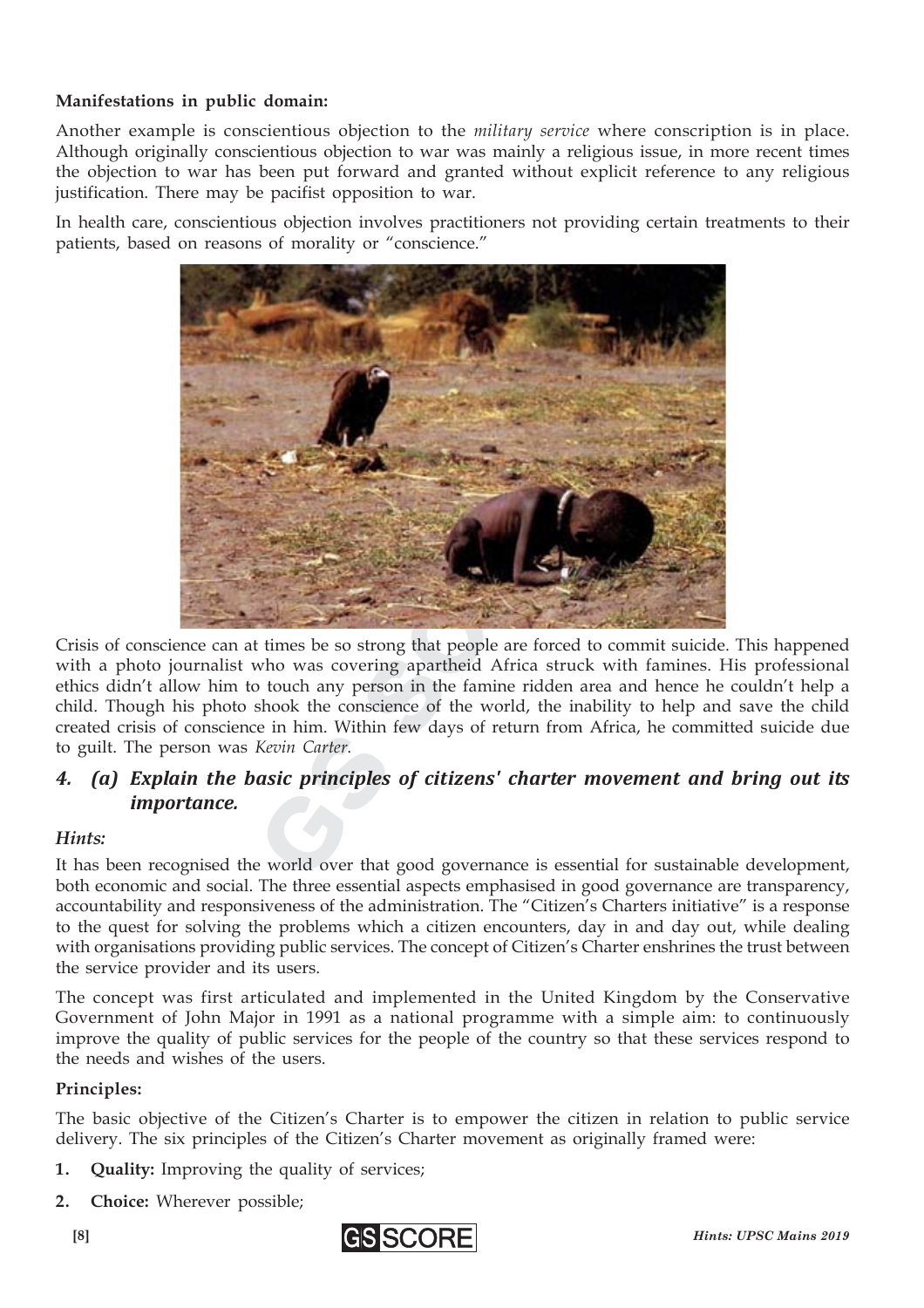#### **Manifestations in public domain:**

Another example is conscientious objection to the *military service* where conscription is in place. Although originally conscientious objection to war was mainly a religious issue, in more recent times the objection to war has been put forward and granted without explicit reference to any religious justification. There may be pacifist opposition to war.

In health care, conscientious objection involves practitioners not providing certain treatments to their patients, based on reasons of morality or "conscience."



Crisis of conscience can at times be so strong that people are forced to commit suicide. This happened with a photo journalist who was covering apartheid Africa struck with famines. His professional ethics didn't allow him to touch any person in the famine ridden area and hence he couldn't help a child. Though his photo shook the conscience of the world, the inability to help and save the child created crisis of conscience in him. Within few days of return from Africa, he committed suicide due to guilt. The person was *Kevin Carter*.

#### *4. (a) Explain the basic principles of citizens' charter movement and bring out its importance.*

#### *Hints:*

It has been recognised the world over that good governance is essential for sustainable development, both economic and social. The three essential aspects emphasised in good governance are transparency, accountability and responsiveness of the administration. The "Citizen's Charters initiative" is a response to the quest for solving the problems which a citizen encounters, day in and day out, while dealing with organisations providing public services. The concept of Citizen's Charter enshrines the trust between the service provider and its users.

The concept was first articulated and implemented in the United Kingdom by the Conservative Government of John Major in 1991 as a national programme with a simple aim: to continuously improve the quality of public services for the people of the country so that these services respond to the needs and wishes of the users.

#### **Principles:**

The basic objective of the Citizen's Charter is to empower the citizen in relation to public service delivery. The six principles of the Citizen's Charter movement as originally framed were:

- **1. Quality:** Improving the quality of services;
- **2. Choice:** Wherever possible;

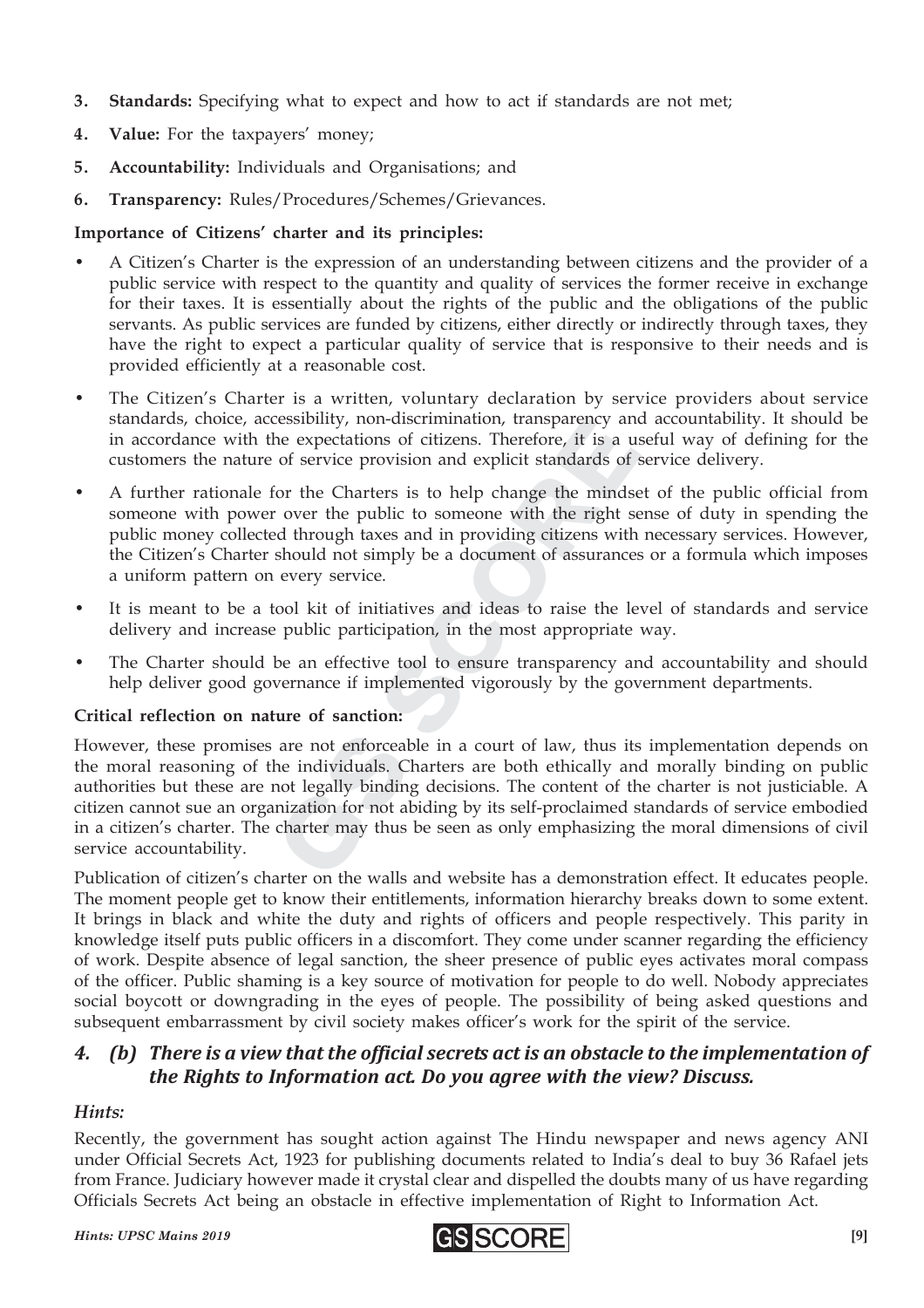- **3. Standards:** Specifying what to expect and how to act if standards are not met;
- **4. Value:** For the taxpayers' money;
- **5. Accountability:** Individuals and Organisations; and
- **6. Transparency:** Rules/Procedures/Schemes/Grievances.

#### **Importance of Citizens' charter and its principles:**

- A Citizen's Charter is the expression of an understanding between citizens and the provider of a public service with respect to the quantity and quality of services the former receive in exchange for their taxes. It is essentially about the rights of the public and the obligations of the public servants. As public services are funded by citizens, either directly or indirectly through taxes, they have the right to expect a particular quality of service that is responsive to their needs and is provided efficiently at a reasonable cost.
- The Citizen's Charter is a written, voluntary declaration by service providers about service standards, choice, accessibility, non-discrimination, transparency and accountability. It should be in accordance with the expectations of citizens. Therefore, it is a useful way of defining for the customers the nature of service provision and explicit standards of service delivery.
- A further rationale for the Charters is to help change the mindset of the public official from someone with power over the public to someone with the right sense of duty in spending the public money collected through taxes and in providing citizens with necessary services. However, the Citizen's Charter should not simply be a document of assurances or a formula which imposes a uniform pattern on every service.
- It is meant to be a tool kit of initiatives and ideas to raise the level of standards and service delivery and increase public participation, in the most appropriate way.
- The Charter should be an effective tool to ensure transparency and accountability and should help deliver good governance if implemented vigorously by the government departments.

#### **Critical reflection on nature of sanction:**

the expectations of citizens. Therefore, it is a tof service provision and explicit standards of<br>or the Charters is to help change the minds<br>over the public to someone with the right s<br>over the public to someone with the r is a use expectations of citizens. Therefore, it is a unit of service provision and explicit standards of or the Charters is to help change the minds over the public to someone with the right s d through taxes and in provi However, these promises are not enforceable in a court of law, thus its implementation depends on the moral reasoning of the individuals. Charters are both ethically and morally binding on public authorities but these are not legally binding decisions. The content of the charter is not justiciable. A citizen cannot sue an organization for not abiding by its self-proclaimed standards of service embodied in a citizen's charter. The charter may thus be seen as only emphasizing the moral dimensions of civil service accountability.

Publication of citizen's charter on the walls and website has a demonstration effect. It educates people. The moment people get to know their entitlements, information hierarchy breaks down to some extent. It brings in black and white the duty and rights of officers and people respectively. This parity in knowledge itself puts public officers in a discomfort. They come under scanner regarding the efficiency of work. Despite absence of legal sanction, the sheer presence of public eyes activates moral compass of the officer. Public shaming is a key source of motivation for people to do well. Nobody appreciates social boycott or downgrading in the eyes of people. The possibility of being asked questions and subsequent embarrassment by civil society makes officer's work for the spirit of the service.

#### *4. (b) There is a view that the official secrets act is an obstacle to the implementation of the Rights to Information act. Do you agree with the view? Discuss.*

#### *Hints:*

Recently, the government has sought action against The Hindu newspaper and news agency ANI under Official Secrets Act, 1923 for publishing documents related to India's deal to buy 36 Rafael jets from France. Judiciary however made it crystal clear and dispelled the doubts many of us have regarding Officials Secrets Act being an obstacle in effective implementation of Right to Information Act.

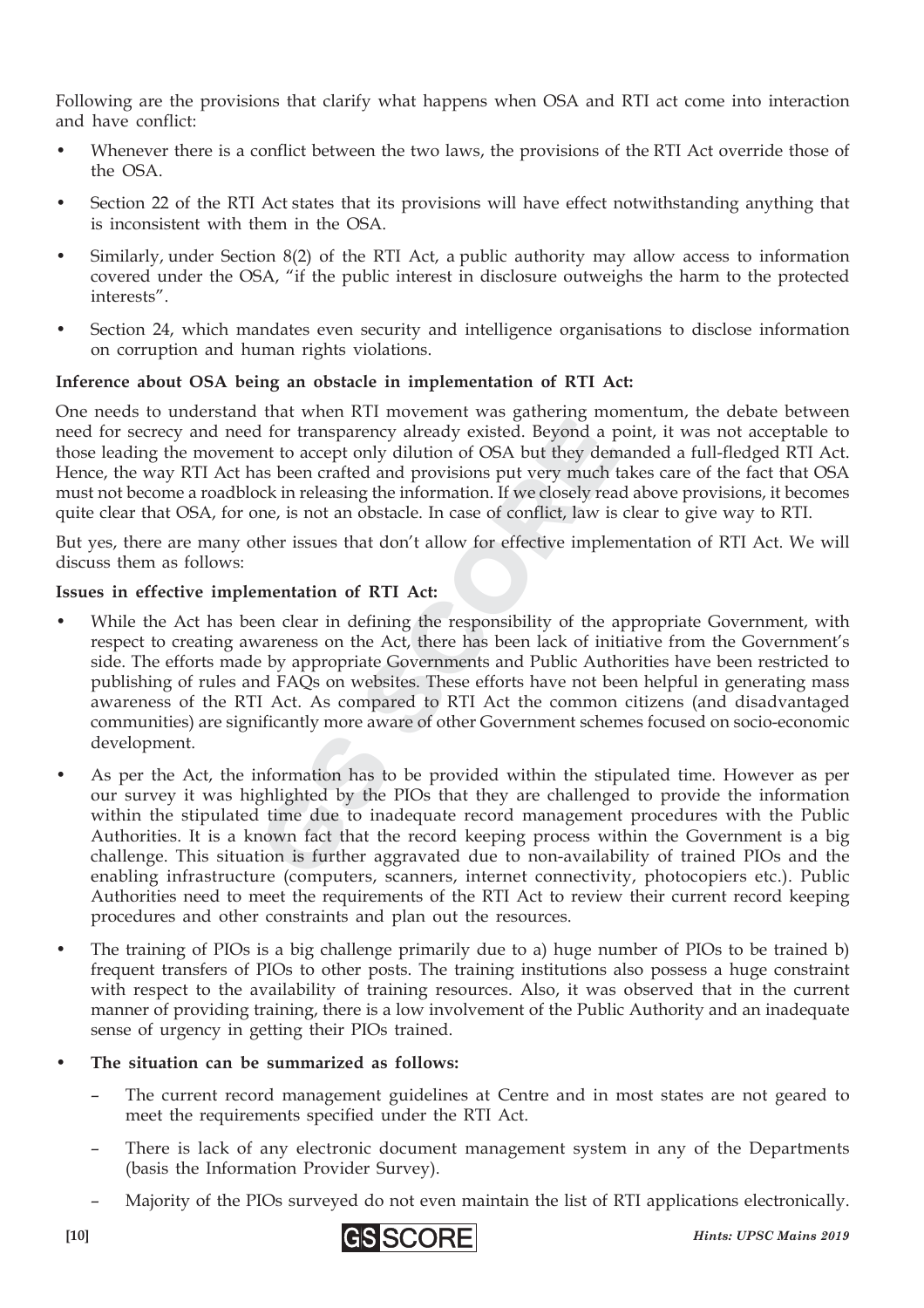Following are the provisions that clarify what happens when OSA and RTI act come into interaction and have conflict:

- Whenever there is a conflict between the two laws, the provisions of the RTI Act override those of the OSA.
- Section 22 of the RTI Act states that its provisions will have effect notwithstanding anything that is inconsistent with them in the OSA.
- Similarly, under Section 8(2) of the RTI Act, a public authority may allow access to information covered under the OSA, "if the public interest in disclosure outweighs the harm to the protected interests".
- Section 24, which mandates even security and intelligence organisations to disclose information on corruption and human rights violations.

#### **Inference about OSA being an obstacle in implementation of RTI Act:**

One needs to understand that when RTI movement was gathering momentum, the debate between need for secrecy and need for transparency already existed. Beyond a point, it was not acceptable to those leading the movement to accept only dilution of OSA but they demanded a full-fledged RTI Act. Hence, the way RTI Act has been crafted and provisions put very much takes care of the fact that OSA must not become a roadblock in releasing the information. If we closely read above provisions, it becomes quite clear that OSA, for one, is not an obstacle. In case of conflict, law is clear to give way to RTI.

But yes, there are many other issues that don't allow for effective implementation of RTI Act. We will discuss them as follows:

#### **Issues in effective implementation of RTI Act:**

- If or transparency already existed. Beyond a ent to accept only dilution of OSA but they den<br>as been crafted and provisions put very much<br>ock in releasing the information. If we closely rea<br>me, is not an obstacle. In case If or transparency already existed. Beyond a p<br>nt to accept only dilution of OSA but they den<br>as been crafted and provisions put very much the<br>ck in releasing the information. If we closely rea<br>ne, is not an obstacle. In c While the Act has been clear in defining the responsibility of the appropriate Government, with respect to creating awareness on the Act, there has been lack of initiative from the Government's side. The efforts made by appropriate Governments and Public Authorities have been restricted to publishing of rules and FAQs on websites. These efforts have not been helpful in generating mass awareness of the RTI Act. As compared to RTI Act the common citizens (and disadvantaged communities) are significantly more aware of other Government schemes focused on socio-economic development.
- As per the Act, the information has to be provided within the stipulated time. However as per our survey it was highlighted by the PIOs that they are challenged to provide the information within the stipulated time due to inadequate record management procedures with the Public Authorities. It is a known fact that the record keeping process within the Government is a big challenge. This situation is further aggravated due to non-availability of trained PIOs and the enabling infrastructure (computers, scanners, internet connectivity, photocopiers etc.). Public Authorities need to meet the requirements of the RTI Act to review their current record keeping procedures and other constraints and plan out the resources.
- The training of PIOs is a big challenge primarily due to a) huge number of PIOs to be trained b) frequent transfers of PIOs to other posts. The training institutions also possess a huge constraint with respect to the availability of training resources. Also, it was observed that in the current manner of providing training, there is a low involvement of the Public Authority and an inadequate sense of urgency in getting their PIOs trained.

#### • **The situation can be summarized as follows:**

- The current record management guidelines at Centre and in most states are not geared to meet the requirements specified under the RTI Act.
- There is lack of any electronic document management system in any of the Departments (basis the Information Provider Survey).
- Majority of the PIOs surveyed do not even maintain the list of RTI applications electronically.



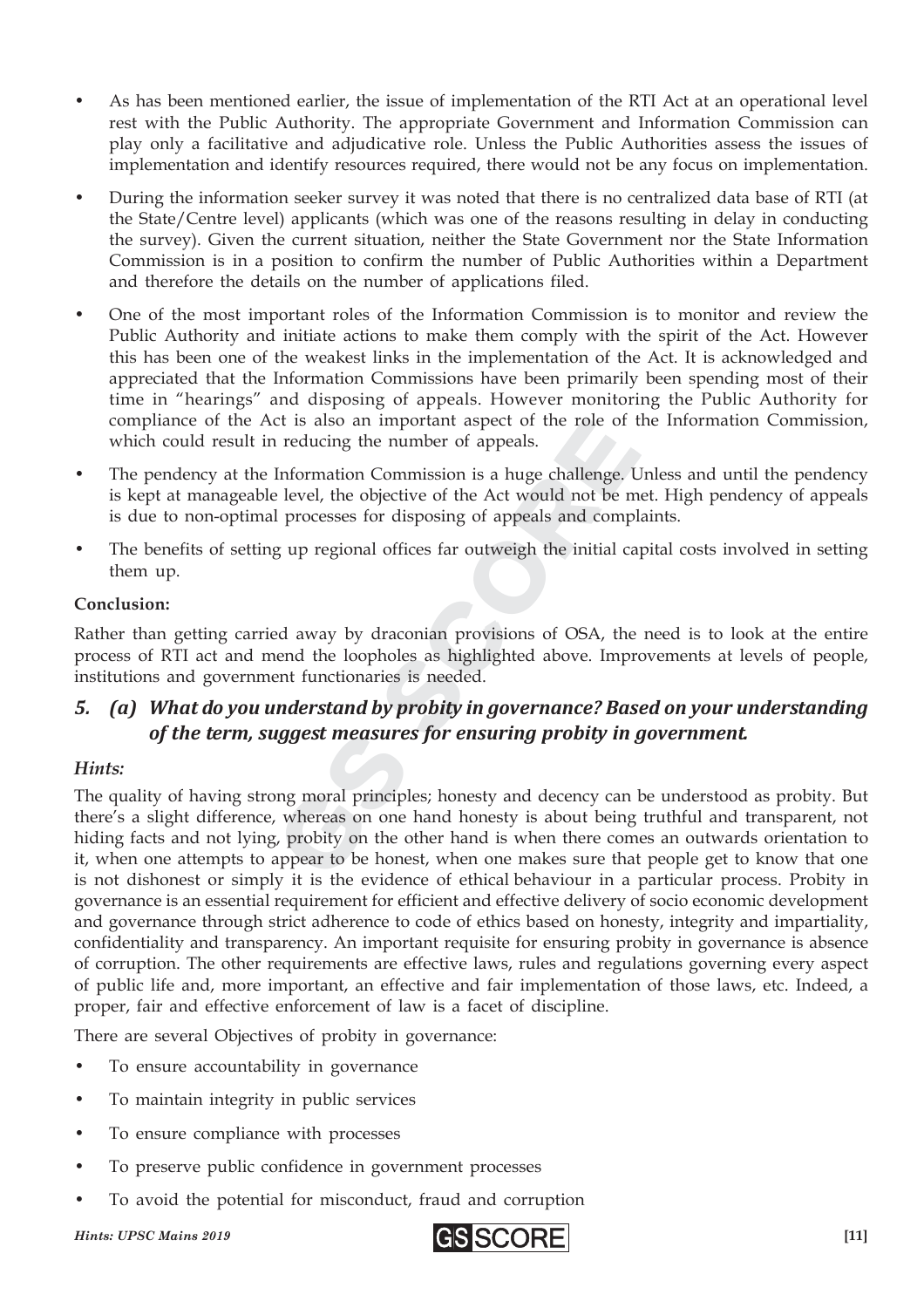- As has been mentioned earlier, the issue of implementation of the RTI Act at an operational level rest with the Public Authority. The appropriate Government and Information Commission can play only a facilitative and adjudicative role. Unless the Public Authorities assess the issues of implementation and identify resources required, there would not be any focus on implementation.
- During the information seeker survey it was noted that there is no centralized data base of RTI (at the State/Centre level) applicants (which was one of the reasons resulting in delay in conducting the survey). Given the current situation, neither the State Government nor the State Information Commission is in a position to confirm the number of Public Authorities within a Department and therefore the details on the number of applications filed.
- One of the most important roles of the Information Commission is to monitor and review the Public Authority and initiate actions to make them comply with the spirit of the Act. However this has been one of the weakest links in the implementation of the Act. It is acknowledged and appreciated that the Information Commissions have been primarily been spending most of their time in "hearings" and disposing of appeals. However monitoring the Public Authority for compliance of the Act is also an important aspect of the role of the Information Commission, which could result in reducing the number of appeals.
- The pendency at the Information Commission is a huge challenge. Unless and until the pendency is kept at manageable level, the objective of the Act would not be met. High pendency of appeals is due to non-optimal processes for disposing of appeals and complaints.
- The benefits of setting up regional offices far outweigh the initial capital costs involved in setting them up.

#### **Conclusion:**

Rather than getting carried away by draconian provisions of OSA, the need is to look at the entire process of RTI act and mend the loopholes as highlighted above. Improvements at levels of people, institutions and government functionaries is needed.

#### *5. (a) What do you understand by probity in governance? Based on your understanding of the term, suggest measures for ensuring probity in government.*

#### *Hints:*

In reducing the number of appeals.<br>Information Commission is a huge challenge.<br>Processes for disposing of appeals and compare and reducing the objective of the Act would not be r<br>I processes for disposing of appeals and co Frequencies the number of appeals.<br>Information Commission is a huge challenge. If level, the objective of the Act would not be m<br>processes for disposing of appeals and comp<br>g up regional offices far outweigh the initial c The quality of having strong moral principles; honesty and decency can be understood as probity. But there's a slight difference, whereas on one hand honesty is about being truthful and transparent, not hiding facts and not lying, probity on the other hand is when there comes an outwards orientation to it, when one attempts to appear to be honest, when one makes sure that people get to know that one is not dishonest or simply it is the evidence of ethical behaviour in a particular process. Probity in governance is an essential requirement for efficient and effective delivery of socio economic development and governance through strict adherence to code of ethics based on honesty, integrity and impartiality, confidentiality and transparency. An important requisite for ensuring probity in governance is absence of corruption. The other requirements are effective laws, rules and regulations governing every aspect of public life and, more important, an effective and fair implementation of those laws, etc. Indeed, a proper, fair and effective enforcement of law is a facet of discipline.

There are several Objectives of probity in governance:

- To ensure accountability in governance
- To maintain integrity in public services
- To ensure compliance with processes
- To preserve public confidence in government processes
- To avoid the potential for misconduct, fraud and corruption

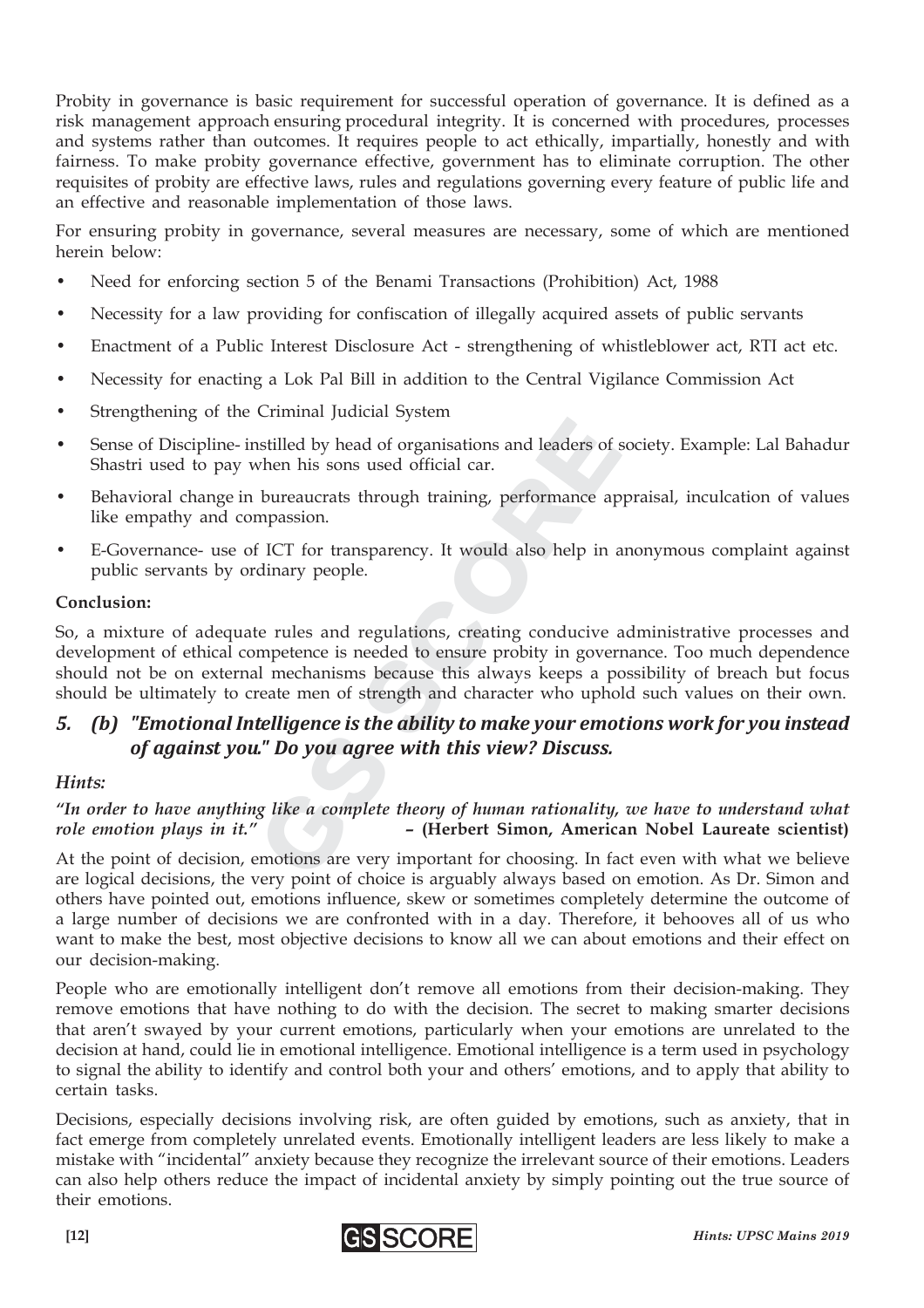Probity in governance is basic requirement for successful operation of governance. It is defined as a risk management approach ensuring procedural integrity. It is concerned with procedures, processes and systems rather than outcomes. It requires people to act ethically, impartially, honestly and with fairness. To make probity governance effective, government has to eliminate corruption. The other requisites of probity are effective laws, rules and regulations governing every feature of public life and an effective and reasonable implementation of those laws.

For ensuring probity in governance, several measures are necessary, some of which are mentioned herein below:

- Need for enforcing section 5 of the Benami Transactions (Prohibition) Act, 1988
- Necessity for a law providing for confiscation of illegally acquired assets of public servants
- Enactment of a Public Interest Disclosure Act strengthening of whistleblower act, RTI act etc.
- Necessity for enacting a Lok Pal Bill in addition to the Central Vigilance Commission Act
- Strengthening of the Criminal Judicial System
- Sense of Discipline- instilled by head of organisations and leaders of society. Example: Lal Bahadur Shastri used to pay when his sons used official car.
- Behavioral change in bureaucrats through training, performance appraisal, inculcation of values like empathy and compassion.
- E-Governance- use of ICT for transparency. It would also help in anonymous complaint against public servants by ordinary people.

#### **Conclusion:**

Instilled by head of organisations and leaders of<br>when his sons used official car.<br>bureaucrats through training, performance a<br>mpassion.<br>f ICT for transparency. It would also help in<br>dinary people.<br>te rules and regulations stilled by head of organisations and leaders of<br>
then his sons used official car.<br>
bureaucrats through training, performance ap<br>
mpassion.<br>
ECT for transparency. It would also help in<br>
dinary people.<br>
e rules and regulatio So, a mixture of adequate rules and regulations, creating conducive administrative processes and development of ethical competence is needed to ensure probity in governance. Too much dependence should not be on external mechanisms because this always keeps a possibility of breach but focus should be ultimately to create men of strength and character who uphold such values on their own.

#### *5. (b) "Emotional Intelligence is the ability to make your emotions work for you instead of against you." Do you agree with this view? Discuss.*

#### *Hints:*

#### *"In order to have anything like a complete theory of human rationality, we have to understand what role emotion plays in it."* **– (Herbert Simon, American Nobel Laureate scientist)**

At the point of decision, emotions are very important for choosing. In fact even with what we believe are logical decisions, the very point of choice is arguably always based on emotion. As Dr. Simon and others have pointed out, emotions influence, skew or sometimes completely determine the outcome of a large number of decisions we are confronted with in a day. Therefore, it behooves all of us who want to make the best, most objective decisions to know all we can about emotions and their effect on our decision-making.

People who are emotionally intelligent don't remove all emotions from their decision-making. They remove emotions that have nothing to do with the decision. The secret to making smarter decisions that aren't swayed by your current emotions, particularly when your emotions are unrelated to the decision at hand, could lie in emotional intelligence. Emotional intelligence is a term used in psychology to signal the ability to identify and control both your and others' emotions, and to apply that ability to certain tasks.

Decisions, especially decisions involving risk, are often guided by emotions, such as anxiety, that in fact emerge from completely unrelated events. Emotionally intelligent leaders are less likely to make a mistake with "incidental" anxiety because they recognize the irrelevant source of their emotions. Leaders can also help others reduce the impact of incidental anxiety by simply pointing out the true source of their emotions.

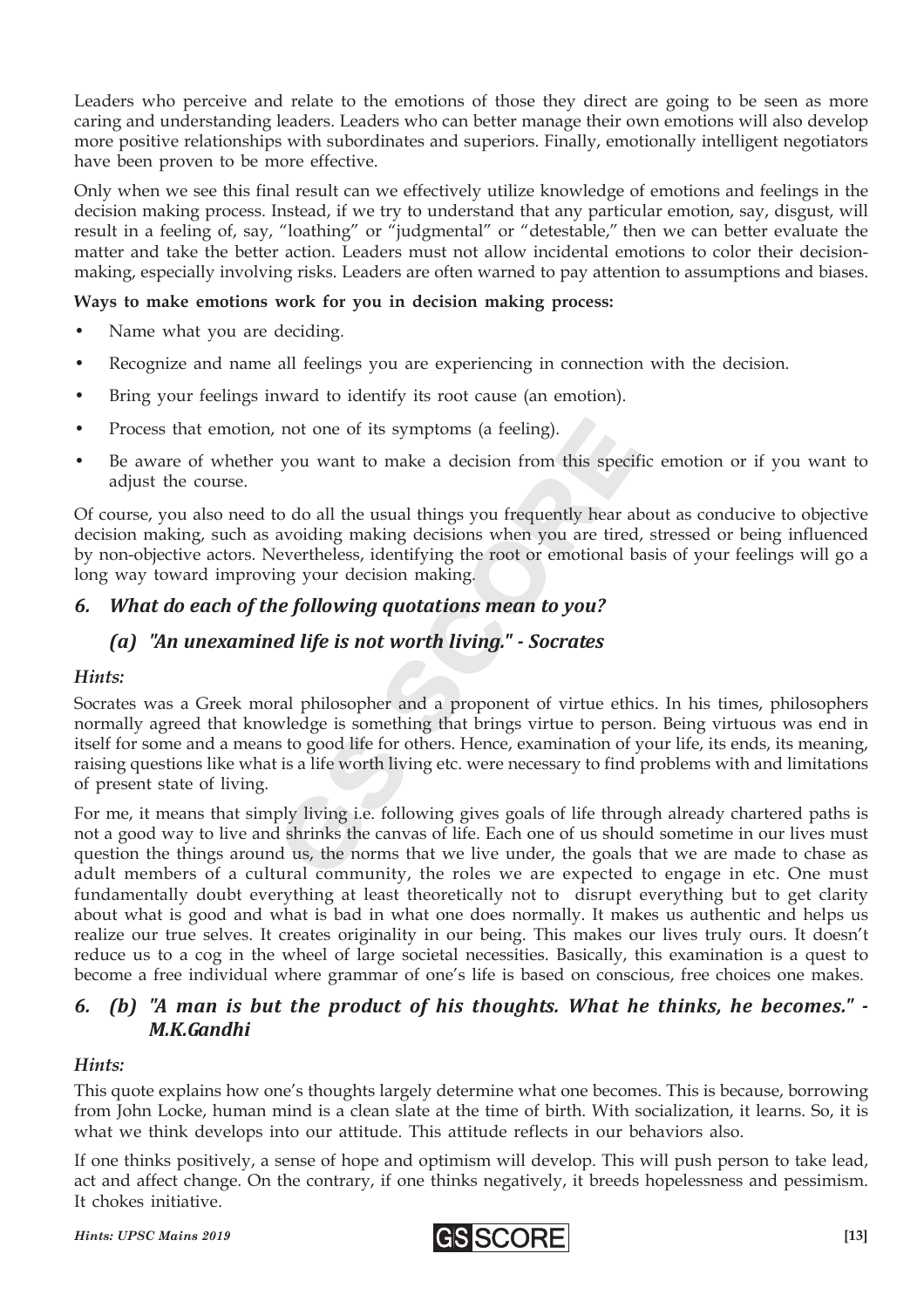Leaders who perceive and relate to the emotions of those they direct are going to be seen as more caring and understanding leaders. Leaders who can better manage their own emotions will also develop more positive relationships with subordinates and superiors. Finally, emotionally intelligent negotiators have been proven to be more effective.

Only when we see this final result can we effectively utilize knowledge of emotions and feelings in the decision making process. Instead, if we try to understand that any particular emotion, say, disgust, will result in a feeling of, say, "loathing" or "judgmental" or "detestable," then we can better evaluate the matter and take the better action. Leaders must not allow incidental emotions to color their decisionmaking, especially involving risks. Leaders are often warned to pay attention to assumptions and biases.

#### **Ways to make emotions work for you in decision making process:**

- Name what you are deciding.
- Recognize and name all feelings you are experiencing in connection with the decision.
- Bring your feelings inward to identify its root cause (an emotion).
- Process that emotion, not one of its symptoms (a feeling).
- Be aware of whether you want to make a decision from this specific emotion or if you want to adjust the course.

Of course, you also need to do all the usual things you frequently hear about as conducive to objective decision making, such as avoiding making decisions when you are tired, stressed or being influenced by non-objective actors. Nevertheless, identifying the root or emotional basis of your feelings will go a long way toward improving your decision making.

#### *6. What do each of the following quotations mean to you?*

#### *(a) "An unexamined life is not worth living." - Socrates*

#### *Hints:*

not one of its symptoms (a feeling).<br>
you want to make a decision from this spec<br>
to do all the usual things you frequently hear a<br>
avoiding making decisions when you are tire<br>
evertheless, identifying the root or emotiona not one of its symptoms (a feeling).<br>
you want to make a decision from this spect<br>
o do all the usual things you frequently hear a<br>
avoiding making decisions when you are tired<br>
evertheless, identifying the root or emotion Socrates was a Greek moral philosopher and a proponent of virtue ethics. In his times, philosophers normally agreed that knowledge is something that brings virtue to person. Being virtuous was end in itself for some and a means to good life for others. Hence, examination of your life, its ends, its meaning, raising questions like what is a life worth living etc. were necessary to find problems with and limitations of present state of living.

For me, it means that simply living i.e. following gives goals of life through already chartered paths is not a good way to live and shrinks the canvas of life. Each one of us should sometime in our lives must question the things around us, the norms that we live under, the goals that we are made to chase as adult members of a cultural community, the roles we are expected to engage in etc. One must fundamentally doubt everything at least theoretically not to disrupt everything but to get clarity about what is good and what is bad in what one does normally. It makes us authentic and helps us realize our true selves. It creates originality in our being. This makes our lives truly ours. It doesn't reduce us to a cog in the wheel of large societal necessities. Basically, this examination is a quest to become a free individual where grammar of one's life is based on conscious, free choices one makes.

#### *6. (b) "A man is but the product of his thoughts. What he thinks, he becomes." - M.K.Gandhi*

#### *Hints:*

This quote explains how one's thoughts largely determine what one becomes. This is because, borrowing from John Locke, human mind is a clean slate at the time of birth. With socialization, it learns. So, it is what we think develops into our attitude. This attitude reflects in our behaviors also.

If one thinks positively, a sense of hope and optimism will develop. This will push person to take lead, act and affect change. On the contrary, if one thinks negatively, it breeds hopelessness and pessimism. It chokes initiative.

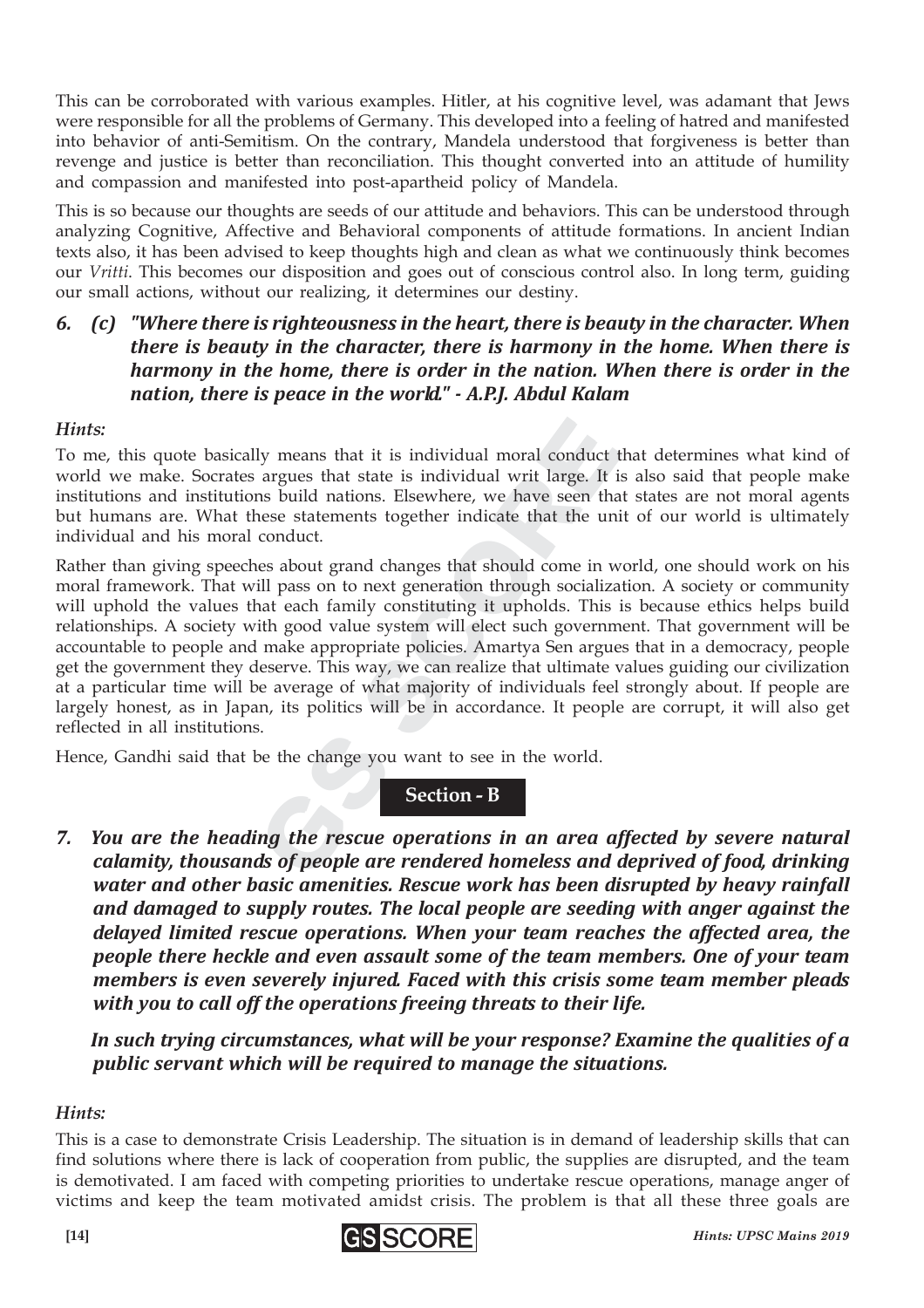This can be corroborated with various examples. Hitler, at his cognitive level, was adamant that Jews were responsible for all the problems of Germany. This developed into a feeling of hatred and manifested into behavior of anti-Semitism. On the contrary, Mandela understood that forgiveness is better than revenge and justice is better than reconciliation. This thought converted into an attitude of humility and compassion and manifested into post-apartheid policy of Mandela.

This is so because our thoughts are seeds of our attitude and behaviors. This can be understood through analyzing Cognitive, Affective and Behavioral components of attitude formations. In ancient Indian texts also, it has been advised to keep thoughts high and clean as what we continuously think becomes our *Vritti*. This becomes our disposition and goes out of conscious control also. In long term, guiding our small actions, without our realizing, it determines our destiny.

#### *6. (c) "Where there is righteousness in the heart, there is beauty in the character. When there is beauty in the character, there is harmony in the home. When there is harmony in the home, there is order in the nation. When there is order in the nation, there is peace in the world." - A.P.J. Abdul Kalam*

#### *Hints:*

To me, this quote basically means that it is individual moral conduct that determines what kind of world we make. Socrates argues that state is individual writ large. It is also said that people make institutions and institutions build nations. Elsewhere, we have seen that states are not moral agents but humans are. What these statements together indicate that the unit of our world is ultimately individual and his moral conduct.

It is individual moral conduct<br>argues that state is individual moral conduct<br>argues that state is individual writ large. It<br>ms build nations. Elsewhere, we have seen th<br>nese statements together indicate that the ur<br>conduct ly means that it is individual moral conduct<br>argues that state is individual writ large. It<br>is build nations. Elsewhere, we have seen tha<br>ese statements together indicate that the un<br>conduct.<br>es about grand changes that sh Rather than giving speeches about grand changes that should come in world, one should work on his moral framework. That will pass on to next generation through socialization. A society or community will uphold the values that each family constituting it upholds. This is because ethics helps build relationships. A society with good value system will elect such government. That government will be accountable to people and make appropriate policies. Amartya Sen argues that in a democracy, people get the government they deserve. This way, we can realize that ultimate values guiding our civilization at a particular time will be average of what majority of individuals feel strongly about. If people are largely honest, as in Japan, its politics will be in accordance. It people are corrupt, it will also get reflected in all institutions.

Hence, Gandhi said that be the change you want to see in the world.

#### **Section - B**

*7. You are the heading the rescue operations in an area affected by severe natural calamity, thousands of people are rendered homeless and deprived of food, drinking water and other basic amenities. Rescue work has been disrupted by heavy rainfall and damaged to supply routes. The local people are seeding with anger against the delayed limited rescue operations. When your team reaches the affected area, the people there heckle and even assault some of the team members. One of your team members is even severely injured. Faced with this crisis some team member pleads with you to call off the operations freeing threats to their life.*

*In such trying circumstances, what will be your response? Examine the qualities of a public servant which will be required to manage the situations.*

#### *Hints:*

This is a case to demonstrate Crisis Leadership. The situation is in demand of leadership skills that can find solutions where there is lack of cooperation from public, the supplies are disrupted, and the team is demotivated. I am faced with competing priorities to undertake rescue operations, manage anger of victims and keep the team motivated amidst crisis. The problem is that all these three goals are

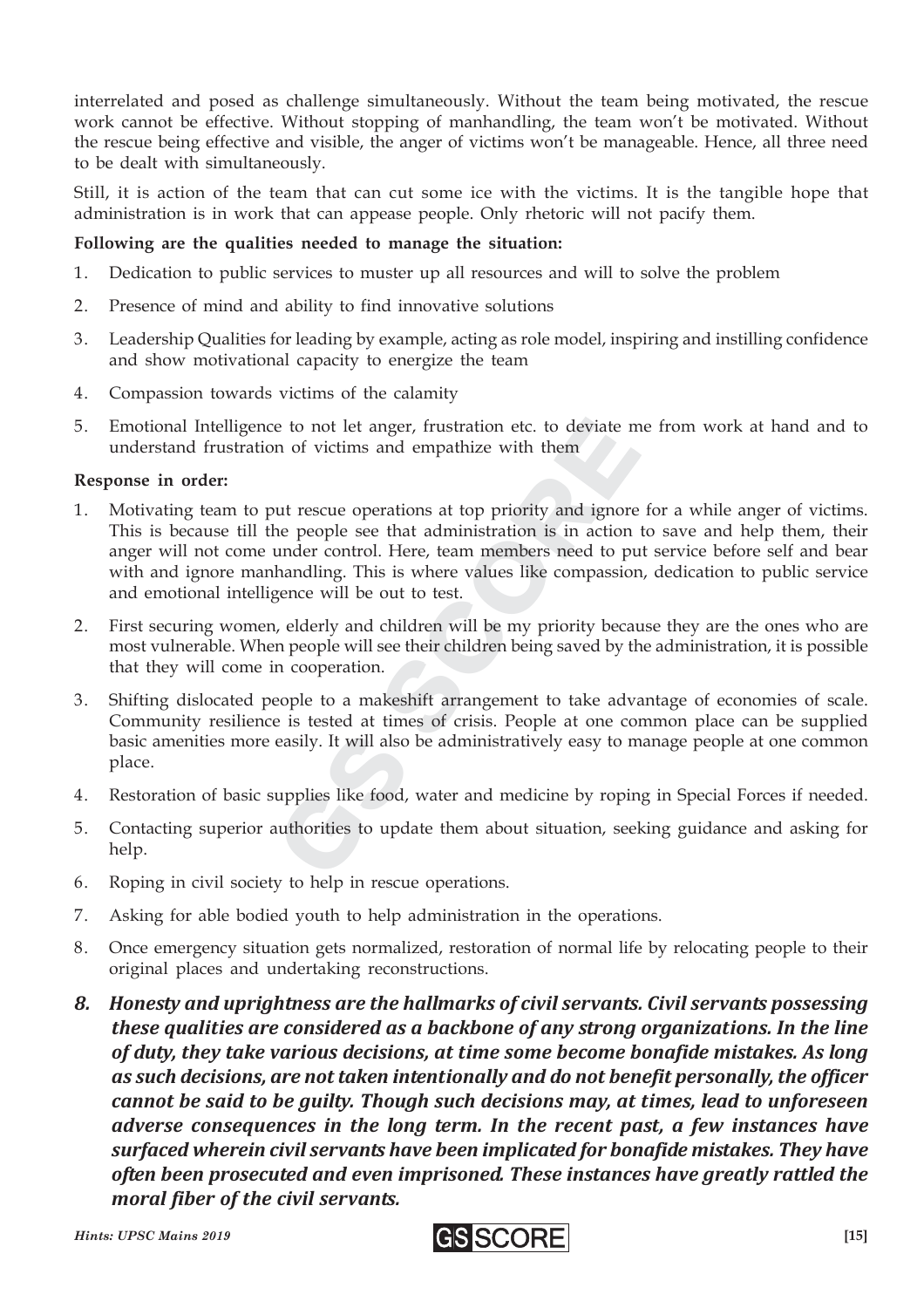interrelated and posed as challenge simultaneously. Without the team being motivated, the rescue work cannot be effective. Without stopping of manhandling, the team won't be motivated. Without the rescue being effective and visible, the anger of victims won't be manageable. Hence, all three need to be dealt with simultaneously.

Still, it is action of the team that can cut some ice with the victims. It is the tangible hope that administration is in work that can appease people. Only rhetoric will not pacify them.

#### **Following are the qualities needed to manage the situation:**

- 1. Dedication to public services to muster up all resources and will to solve the problem
- 2. Presence of mind and ability to find innovative solutions
- 3. Leadership Qualities for leading by example, acting as role model, inspiring and instilling confidence and show motivational capacity to energize the team
- 4. Compassion towards victims of the calamity
- 5. Emotional Intelligence to not let anger, frustration etc. to deviate me from work at hand and to understand frustration of victims and empathize with them

#### **Response in order:**

- e to not let anger, rrustration etc. to deviate in the control of victims and empathize with them<br>not victims and empathize with them<br>nut rescue operations at top priority and ignor<br>ne people see that administration is in Example to not let anger, rrustration etc. to deviate in<br>the of victims and empathize with them<br>tut rescue operations at top priority and ignore<br>expeple see that administration is in action<br>mandling. This is where values l 1. Motivating team to put rescue operations at top priority and ignore for a while anger of victims. This is because till the people see that administration is in action to save and help them, their anger will not come under control. Here, team members need to put service before self and bear with and ignore manhandling. This is where values like compassion, dedication to public service and emotional intelligence will be out to test.
- 2. First securing women, elderly and children will be my priority because they are the ones who are most vulnerable. When people will see their children being saved by the administration, it is possible that they will come in cooperation.
- 3. Shifting dislocated people to a makeshift arrangement to take advantage of economies of scale. Community resilience is tested at times of crisis. People at one common place can be supplied basic amenities more easily. It will also be administratively easy to manage people at one common place.
- 4. Restoration of basic supplies like food, water and medicine by roping in Special Forces if needed.
- 5. Contacting superior authorities to update them about situation, seeking guidance and asking for help.
- 6. Roping in civil society to help in rescue operations.
- 7. Asking for able bodied youth to help administration in the operations.
- 8. Once emergency situation gets normalized, restoration of normal life by relocating people to their original places and undertaking reconstructions.
- *8. Honesty and uprightness are the hallmarks of civil servants. Civil servants possessing these qualities are considered as a backbone of any strong organizations. In the line of duty, they take various decisions, at time some become bonafide mistakes. As long as such decisions, are not taken intentionally and do not benefit personally, the officer cannot be said to be guilty. Though such decisions may, at times, lead to unforeseen adverse consequences in the long term. In the recent past, a few instances have surfaced wherein civil servants have been implicated for bonafide mistakes. They have often been prosecuted and even imprisoned. These instances have greatly rattled the moral fiber of the civil servants.*

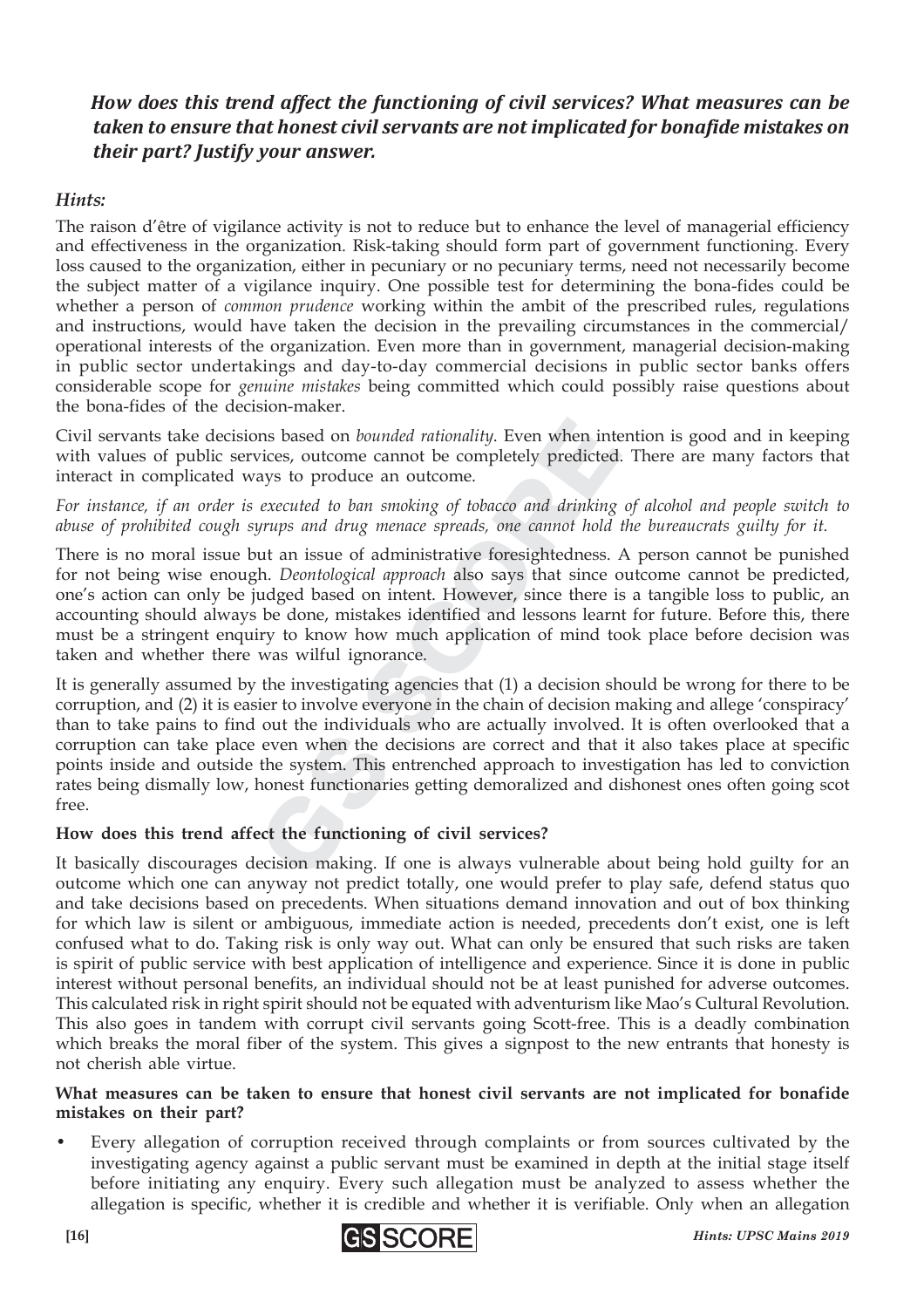#### *How does this trend affect the functioning of civil services? What measures can be taken to ensure that honest civil servants are not implicated for bonafide mistakes on their part? Justify your answer.*

#### *Hints:*

The raison d'être of vigilance activity is not to reduce but to enhance the level of managerial efficiency and effectiveness in the organization. Risk-taking should form part of government functioning. Every loss caused to the organization, either in pecuniary or no pecuniary terms, need not necessarily become the subject matter of a vigilance inquiry. One possible test for determining the bona-fides could be whether a person of *common prudence* working within the ambit of the prescribed rules, regulations and instructions, would have taken the decision in the prevailing circumstances in the commercial/ operational interests of the organization. Even more than in government, managerial decision-making in public sector undertakings and day-to-day commercial decisions in public sector banks offers considerable scope for *genuine mistakes* being committed which could possibly raise questions about the bona-fides of the decision-maker.

Civil servants take decisions based on *bounded rationality*. Even when intention is good and in keeping with values of public services, outcome cannot be completely predicted. There are many factors that interact in complicated ways to produce an outcome.

*For instance, if an order is executed to ban smoking of tobacco and drinking of alcohol and people switch to abuse of prohibited cough syrups and drug menace spreads, one cannot hold the bureaucrats guilty for it.*

There is no moral issue but an issue of administrative foresightedness. A person cannot be punished for not being wise enough. *Deontological approach* also says that since outcome cannot be predicted, one's action can only be judged based on intent. However, since there is a tangible loss to public, an accounting should always be done, mistakes identified and lessons learnt for future. Before this, there must be a stringent enquiry to know how much application of mind took place before decision was taken and whether there was wilful ignorance.

on bounded rationality. Even when invices, outcome cannot be completely predicted ays to produce an outcome.<br> *executed to ban smoking of tobacco and drinking*<br> *yrups and drug menace spreads, one cannot hold*<br>
out an issu more by the more completely predicted ays to produce an outcome.<br> *executed to ban smoking of tobacco and drinking*<br> *executed to ban smoking of tobacco and drinking*<br> *grups and drug menace spreads, one cannot hold*<br>
ut a It is generally assumed by the investigating agencies that (1) a decision should be wrong for there to be corruption, and (2) it is easier to involve everyone in the chain of decision making and allege 'conspiracy' than to take pains to find out the individuals who are actually involved. It is often overlooked that a corruption can take place even when the decisions are correct and that it also takes place at specific points inside and outside the system. This entrenched approach to investigation has led to conviction rates being dismally low, honest functionaries getting demoralized and dishonest ones often going scot free.

#### **How does this trend affect the functioning of civil services?**

It basically discourages decision making. If one is always vulnerable about being hold guilty for an outcome which one can anyway not predict totally, one would prefer to play safe, defend status quo and take decisions based on precedents. When situations demand innovation and out of box thinking for which law is silent or ambiguous, immediate action is needed, precedents don't exist, one is left confused what to do. Taking risk is only way out. What can only be ensured that such risks are taken is spirit of public service with best application of intelligence and experience. Since it is done in public interest without personal benefits, an individual should not be at least punished for adverse outcomes. This calculated risk in right spirit should not be equated with adventurism like Mao's Cultural Revolution. This also goes in tandem with corrupt civil servants going Scott-free. This is a deadly combination which breaks the moral fiber of the system. This gives a signpost to the new entrants that honesty is not cherish able virtue.

#### **What measures can be taken to ensure that honest civil servants are not implicated for bonafide mistakes on their part?**

Every allegation of corruption received through complaints or from sources cultivated by the investigating agency against a public servant must be examined in depth at the initial stage itself before initiating any enquiry. Every such allegation must be analyzed to assess whether the allegation is specific, whether it is credible and whether it is verifiable. Only when an allegation

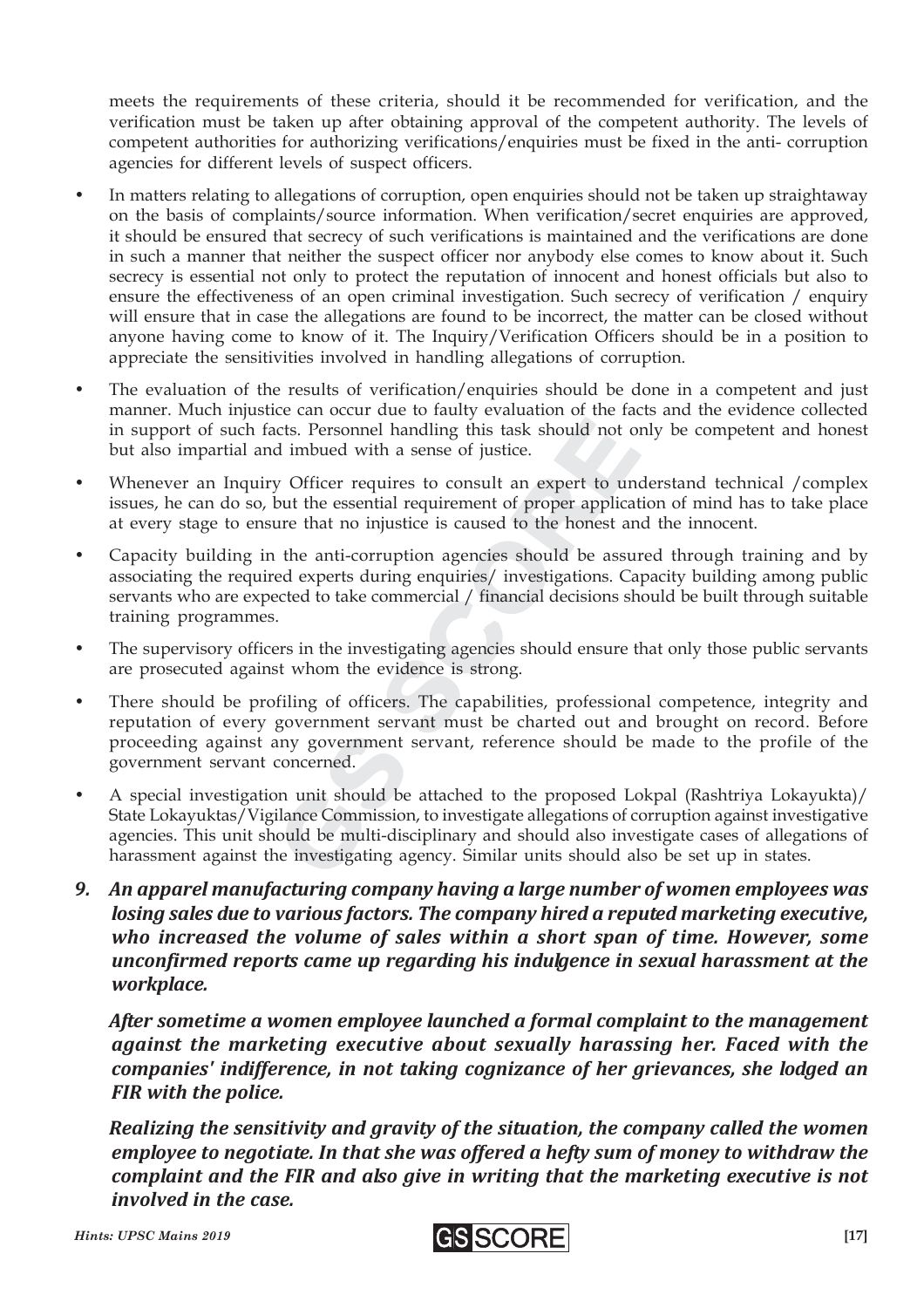meets the requirements of these criteria, should it be recommended for verification, and the verification must be taken up after obtaining approval of the competent authority. The levels of competent authorities for authorizing verifications/enquiries must be fixed in the anti- corruption agencies for different levels of suspect officers.

- In matters relating to allegations of corruption, open enquiries should not be taken up straightaway on the basis of complaints/source information. When verification/secret enquiries are approved, it should be ensured that secrecy of such verifications is maintained and the verifications are done in such a manner that neither the suspect officer nor anybody else comes to know about it. Such secrecy is essential not only to protect the reputation of innocent and honest officials but also to ensure the effectiveness of an open criminal investigation. Such secrecy of verification / enquiry will ensure that in case the allegations are found to be incorrect, the matter can be closed without anyone having come to know of it. The Inquiry/Verification Officers should be in a position to appreciate the sensitivities involved in handling allegations of corruption.
- The evaluation of the results of verification/enquiries should be done in a competent and just manner. Much injustice can occur due to faulty evaluation of the facts and the evidence collected in support of such facts. Personnel handling this task should not only be competent and honest but also impartial and imbued with a sense of justice.
- Whenever an Inquiry Officer requires to consult an expert to understand technical /complex issues, he can do so, but the essential requirement of proper application of mind has to take place at every stage to ensure that no injustice is caused to the honest and the innocent.
- Capacity building in the anti-corruption agencies should be assured through training and by associating the required experts during enquiries/ investigations. Capacity building among public servants who are expected to take commercial / financial decisions should be built through suitable training programmes.
- The supervisory officers in the investigating agencies should ensure that only those public servants are prosecuted against whom the evidence is strong.
- cts. Personnel handling this task should not of d imbued with a sense of justice.<br>y Officer requires to consult an expert to un but the essential requirement of proper applicaure that no injustice is caused to the honest a cts. Personnel handling this task should not c<br>d imbued with a sense of justice.<br>p Officer requires to consult an expert to un<br>out the essential requirement of proper applica<br>are that no injustice is caused to the honest a • There should be profiling of officers. The capabilities, professional competence, integrity and reputation of every government servant must be charted out and brought on record. Before proceeding against any government servant, reference should be made to the profile of the government servant concerned.
- A special investigation unit should be attached to the proposed Lokpal (Rashtriya Lokayukta)/ State Lokayuktas/Vigilance Commission, to investigate allegations of corruption against investigative agencies. This unit should be multi-disciplinary and should also investigate cases of allegations of harassment against the investigating agency. Similar units should also be set up in states.
- *9. An apparel manufacturing company having a large number of women employees was losing sales due to various factors. The company hired a reputed marketing executive, who increased the volume of sales within a short span of time. However, some unconfirmed reports came up regarding his indulgence in sexual harassment at the workplace.*

*After sometime a women employee launched a formal complaint to the management against the marketing executive about sexually harassing her. Faced with the companies' indifference, in not taking cognizance of her grievances, she lodged an FIR with the police.*

*Realizing the sensitivity and gravity of the situation, the company called the women employee to negotiate. In that she was offered a hefty sum of money to withdraw the complaint and the FIR and also give in writing that the marketing executive is not involved in the case.*

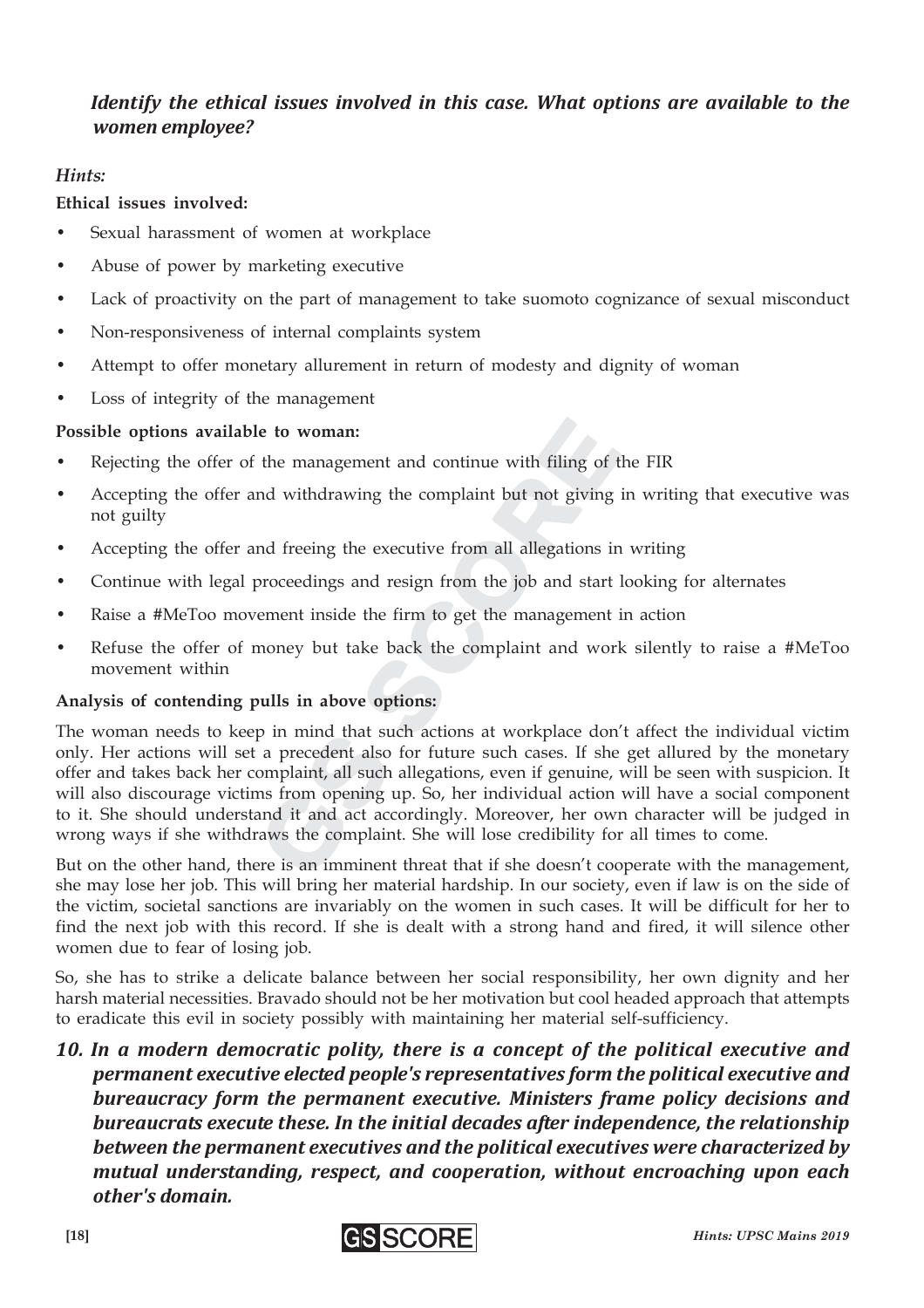#### *Identify the ethical issues involved in this case. What options are available to the women employee?*

#### *Hints:*

#### **Ethical issues involved:**

- Sexual harassment of women at workplace
- Abuse of power by marketing executive
- Lack of proactivity on the part of management to take suomoto cognizance of sexual misconduct
- Non-responsiveness of internal complaints system
- Attempt to offer monetary allurement in return of modesty and dignity of woman
- Loss of integrity of the management

#### **Possible options available to woman:**

- Rejecting the offer of the management and continue with filing of the FIR
- Accepting the offer and withdrawing the complaint but not giving in writing that executive was not guilty
- Accepting the offer and freeing the executive from all allegations in writing
- Continue with legal proceedings and resign from the job and start looking for alternates
- Raise a #MeToo movement inside the firm to get the management in action
- Refuse the offer of money but take back the complaint and work silently to raise a #MeToo movement within

#### **Analysis of contending pulls in above options:**

le **to woman:**<br>the management and continue with filing of<br>nd withdrawing the complaint but not giving<br>and freeing the executive from all allegations i<br>proceedings and resign from the job and start<br>rement inside the firm to **Example 18 and Scottinum in the management and continue with filing of** and withdrawing the complaint but not giving and freeing the executive from all allegations in proceedings and resign from the job and start ement in The woman needs to keep in mind that such actions at workplace don't affect the individual victim only. Her actions will set a precedent also for future such cases. If she get allured by the monetary offer and takes back her complaint, all such allegations, even if genuine, will be seen with suspicion. It will also discourage victims from opening up. So, her individual action will have a social component to it. She should understand it and act accordingly. Moreover, her own character will be judged in wrong ways if she withdraws the complaint. She will lose credibility for all times to come.

But on the other hand, there is an imminent threat that if she doesn't cooperate with the management, she may lose her job. This will bring her material hardship. In our society, even if law is on the side of the victim, societal sanctions are invariably on the women in such cases. It will be difficult for her to find the next job with this record. If she is dealt with a strong hand and fired, it will silence other women due to fear of losing job.

So, she has to strike a delicate balance between her social responsibility, her own dignity and her harsh material necessities. Bravado should not be her motivation but cool headed approach that attempts to eradicate this evil in society possibly with maintaining her material self-sufficiency.

*10. In a modern democratic polity, there is a concept of the political executive and permanent executive elected people's representatives form the political executive and bureaucracy form the permanent executive. Ministers frame policy decisions and bureaucrats execute these. In the initial decades after independence, the relationship between the permanent executives and the political executives were characterized by mutual understanding, respect, and cooperation, without encroaching upon each other's domain.*

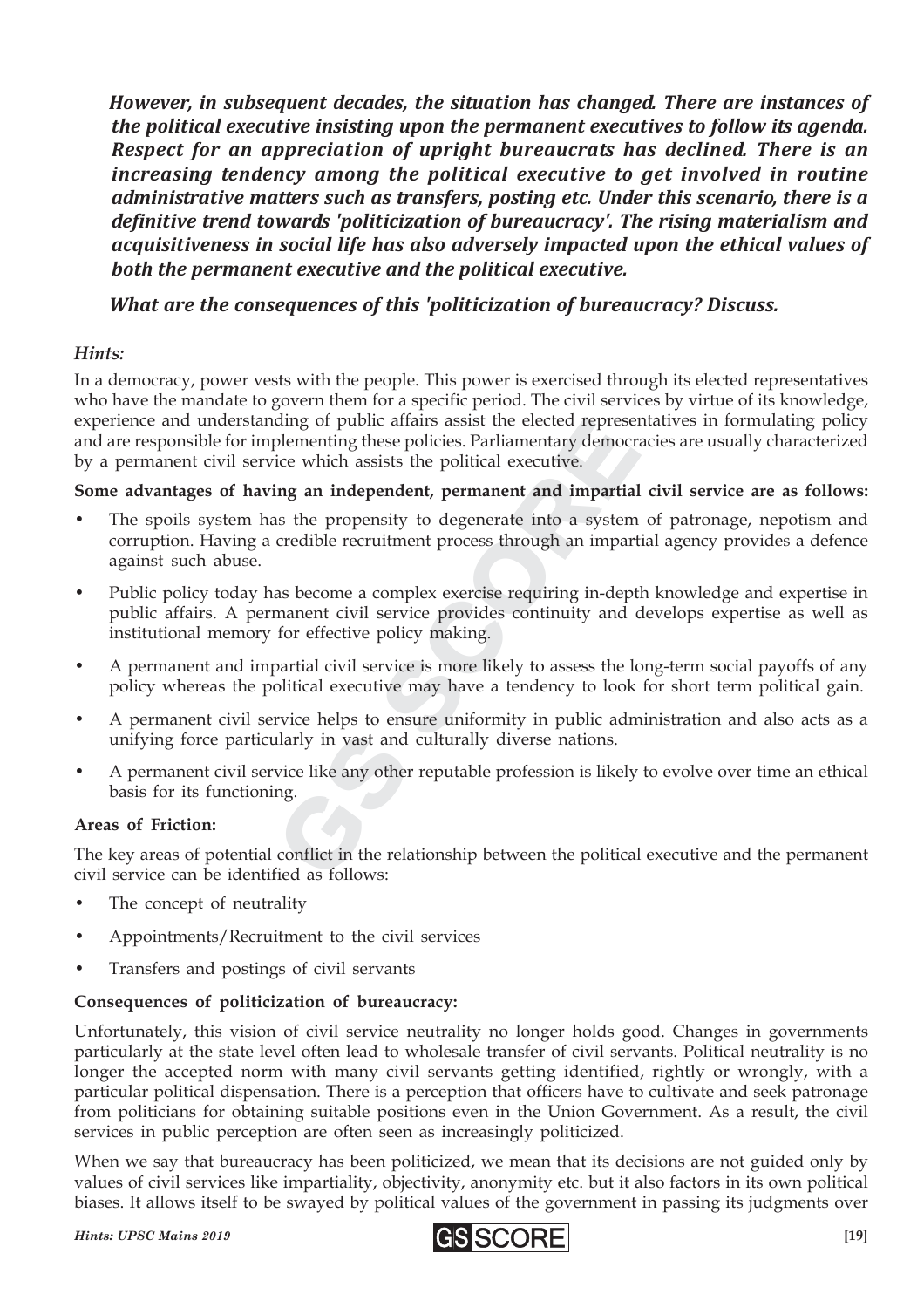*However, in subsequent decades, the situation has changed. There are instances of the political executive insisting upon the permanent executives to follow its agenda. Respect for an appreciation of upright bureaucrats has declined. There is an increasing tendency among the political executive to get involved in routine administrative matters such as transfers, posting etc. Under this scenario, there is a definitive trend towards 'politicization of bureaucracy'. The rising materialism and acquisitiveness in social life has also adversely impacted upon the ethical values of both the permanent executive and the political executive.*

*What are the consequences of this 'politicization of bureaucracy? Discuss.*

#### *Hints:*

In a democracy, power vests with the people. This power is exercised through its elected representatives who have the mandate to govern them for a specific period. The civil services by virtue of its knowledge, experience and understanding of public affairs assist the elected representatives in formulating policy and are responsible for implementing these policies. Parliamentary democracies are usually characterized by a permanent civil service which assists the political executive.

#### **Some advantages of having an independent, permanent and impartial civil service are as follows:**

- example the main designation and the policies. Parliamentary democratively<br>lelementing these policies. Parliamentary democrative.<br>ing an independent, permanent and impartial<br>as the propensity to degenerate into a system<br>cr Frame what was solven the main state of exercise and the policies. Parliamentary democrice which assists the political executive.<br> **ng an independent, permanent and impartia**<br>
s the propensity to degenerate into a system<br> The spoils system has the propensity to degenerate into a system of patronage, nepotism and corruption. Having a credible recruitment process through an impartial agency provides a defence against such abuse.
- Public policy today has become a complex exercise requiring in-depth knowledge and expertise in public affairs. A permanent civil service provides continuity and develops expertise as well as institutional memory for effective policy making.
- A permanent and impartial civil service is more likely to assess the long-term social payoffs of any policy whereas the political executive may have a tendency to look for short term political gain.
- A permanent civil service helps to ensure uniformity in public administration and also acts as a unifying force particularly in vast and culturally diverse nations.
- A permanent civil service like any other reputable profession is likely to evolve over time an ethical basis for its functioning.

#### **Areas of Friction:**

The key areas of potential conflict in the relationship between the political executive and the permanent civil service can be identified as follows:

- The concept of neutrality
- Appointments/Recruitment to the civil services
- Transfers and postings of civil servants

#### **Consequences of politicization of bureaucracy:**

Unfortunately, this vision of civil service neutrality no longer holds good. Changes in governments particularly at the state level often lead to wholesale transfer of civil servants. Political neutrality is no longer the accepted norm with many civil servants getting identified, rightly or wrongly, with a particular political dispensation. There is a perception that officers have to cultivate and seek patronage from politicians for obtaining suitable positions even in the Union Government. As a result, the civil services in public perception are often seen as increasingly politicized.

When we say that bureaucracy has been politicized, we mean that its decisions are not guided only by values of civil services like impartiality, objectivity, anonymity etc. but it also factors in its own political biases. It allows itself to be swayed by political values of the government in passing its judgments over

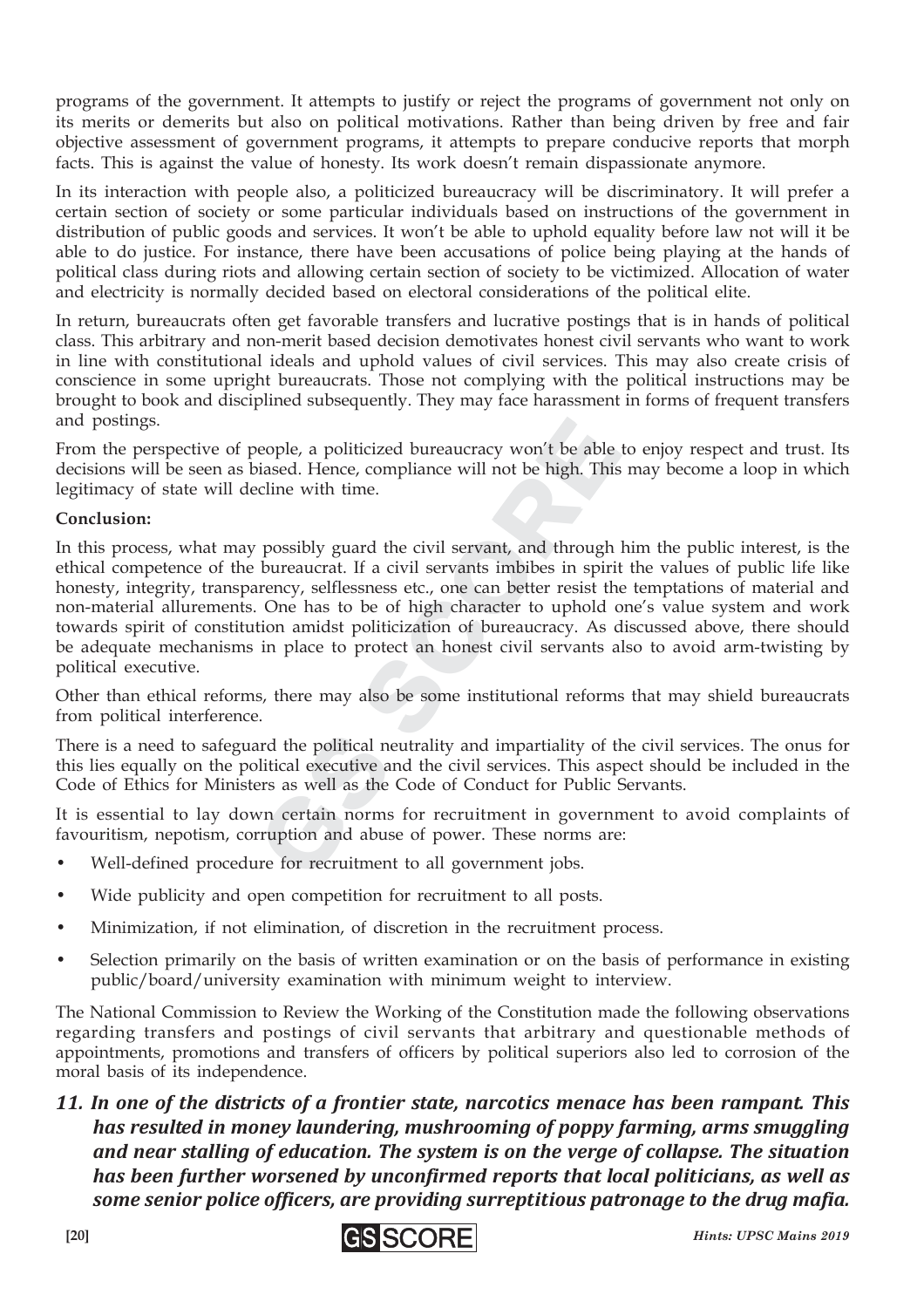programs of the government. It attempts to justify or reject the programs of government not only on its merits or demerits but also on political motivations. Rather than being driven by free and fair objective assessment of government programs, it attempts to prepare conducive reports that morph facts. This is against the value of honesty. Its work doesn't remain dispassionate anymore.

In its interaction with people also, a politicized bureaucracy will be discriminatory. It will prefer a certain section of society or some particular individuals based on instructions of the government in distribution of public goods and services. It won't be able to uphold equality before law not will it be able to do justice. For instance, there have been accusations of police being playing at the hands of political class during riots and allowing certain section of society to be victimized. Allocation of water and electricity is normally decided based on electoral considerations of the political elite.

In return, bureaucrats often get favorable transfers and lucrative postings that is in hands of political class. This arbitrary and non-merit based decision demotivates honest civil servants who want to work in line with constitutional ideals and uphold values of civil services. This may also create crisis of conscience in some upright bureaucrats. Those not complying with the political instructions may be brought to book and disciplined subsequently. They may face harassment in forms of frequent transfers and postings.

From the perspective of people, a politicized bureaucracy won't be able to enjoy respect and trust. Its decisions will be seen as biased. Hence, compliance will not be high. This may become a loop in which legitimacy of state will decline with time.

#### **Conclusion:**

eople, a politicized bureaucracy won't be able<br>biased. Hence, compliance will not be high. Thi<br>cline with time.<br>possibly guard the civil servant, and through<br>bureaucrat. If a civil servants imbibes in spir<br>rency, selflessn eople, a politicized bureaucracy won't be able<br>iased. Hence, compliance will not be high. This<br>cline with time.<br>possibly guard the civil servant, and through<br>bureaucrat. If a civil servants imbibes in spiri<br>rency, selfless In this process, what may possibly guard the civil servant, and through him the public interest, is the ethical competence of the bureaucrat. If a civil servants imbibes in spirit the values of public life like honesty, integrity, transparency, selflessness etc., one can better resist the temptations of material and non-material allurements. One has to be of high character to uphold one's value system and work towards spirit of constitution amidst politicization of bureaucracy. As discussed above, there should be adequate mechanisms in place to protect an honest civil servants also to avoid arm-twisting by political executive.

Other than ethical reforms, there may also be some institutional reforms that may shield bureaucrats from political interference.

There is a need to safeguard the political neutrality and impartiality of the civil services. The onus for this lies equally on the political executive and the civil services. This aspect should be included in the Code of Ethics for Ministers as well as the Code of Conduct for Public Servants.

It is essential to lay down certain norms for recruitment in government to avoid complaints of favouritism, nepotism, corruption and abuse of power. These norms are:

- Well-defined procedure for recruitment to all government jobs.
- Wide publicity and open competition for recruitment to all posts.
- Minimization, if not elimination, of discretion in the recruitment process.
- Selection primarily on the basis of written examination or on the basis of performance in existing public/board/university examination with minimum weight to interview.

The National Commission to Review the Working of the Constitution made the following observations regarding transfers and postings of civil servants that arbitrary and questionable methods of appointments, promotions and transfers of officers by political superiors also led to corrosion of the moral basis of its independence.

*11. In one of the districts of a frontier state, narcotics menace has been rampant. This has resulted in money laundering, mushrooming of poppy farming, arms smuggling and near stalling of education. The system is on the verge of collapse. The situation has been further worsened by unconfirmed reports that local politicians, as well as some senior police officers, are providing surreptitious patronage to the drug mafia.*

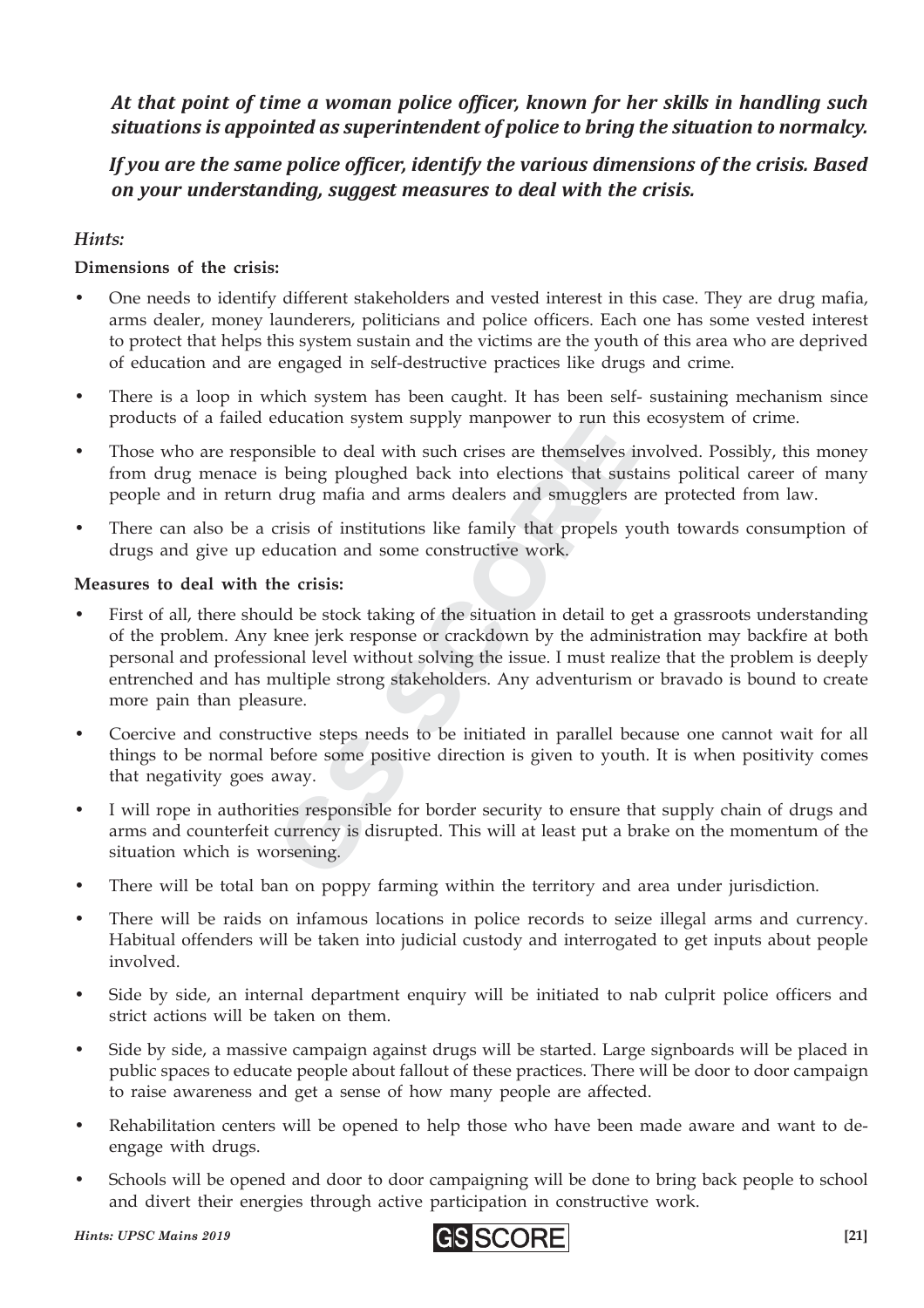*At that point of time a woman police officer, known for her skills in handling such situations is appointed as superintendent of police to bring the situation to normalcy.*

#### *If you are the same police officer, identify the various dimensions of the crisis. Based on your understanding, suggest measures to deal with the crisis.*

#### *Hints:*

#### **Dimensions of the crisis:**

- One needs to identify different stakeholders and vested interest in this case. They are drug mafia, arms dealer, money launderers, politicians and police officers. Each one has some vested interest to protect that helps this system sustain and the victims are the youth of this area who are deprived of education and are engaged in self-destructive practices like drugs and crime.
- There is a loop in which system has been caught. It has been self- sustaining mechanism since products of a failed education system supply manpower to run this ecosystem of crime.
- Those who are responsible to deal with such crises are themselves involved. Possibly, this money from drug menace is being ploughed back into elections that sustains political career of many people and in return drug mafia and arms dealers and smugglers are protected from law.
- There can also be a crisis of institutions like family that propels youth towards consumption of drugs and give up education and some constructive work.

#### **Measures to deal with the crisis:**

- The same themselves<br>the set of deal with such crises are themselves<br>being ploughed back into elections that sus<br>drug mafia and arms dealers and smugglers<br>crisis of institutions like family that propels y<br>ducation and some Solution and some constructions that sust<br>the integral pologhed back into elections that sust<br>drug mafia and arms dealers and smugglers are<br>risis of institutions like family that propels y<br>ducation and some constructive wo First of all, there should be stock taking of the situation in detail to get a grassroots understanding of the problem. Any knee jerk response or crackdown by the administration may backfire at both personal and professional level without solving the issue. I must realize that the problem is deeply entrenched and has multiple strong stakeholders. Any adventurism or bravado is bound to create more pain than pleasure.
- Coercive and constructive steps needs to be initiated in parallel because one cannot wait for all things to be normal before some positive direction is given to youth. It is when positivity comes that negativity goes away.
- I will rope in authorities responsible for border security to ensure that supply chain of drugs and arms and counterfeit currency is disrupted. This will at least put a brake on the momentum of the situation which is worsening.
- There will be total ban on poppy farming within the territory and area under jurisdiction.
- There will be raids on infamous locations in police records to seize illegal arms and currency. Habitual offenders will be taken into judicial custody and interrogated to get inputs about people involved.
- Side by side, an internal department enquiry will be initiated to nab culprit police officers and strict actions will be taken on them.
- Side by side, a massive campaign against drugs will be started. Large signboards will be placed in public spaces to educate people about fallout of these practices. There will be door to door campaign to raise awareness and get a sense of how many people are affected.
- Rehabilitation centers will be opened to help those who have been made aware and want to deengage with drugs.
- Schools will be opened and door to door campaigning will be done to bring back people to school and divert their energies through active participation in constructive work.

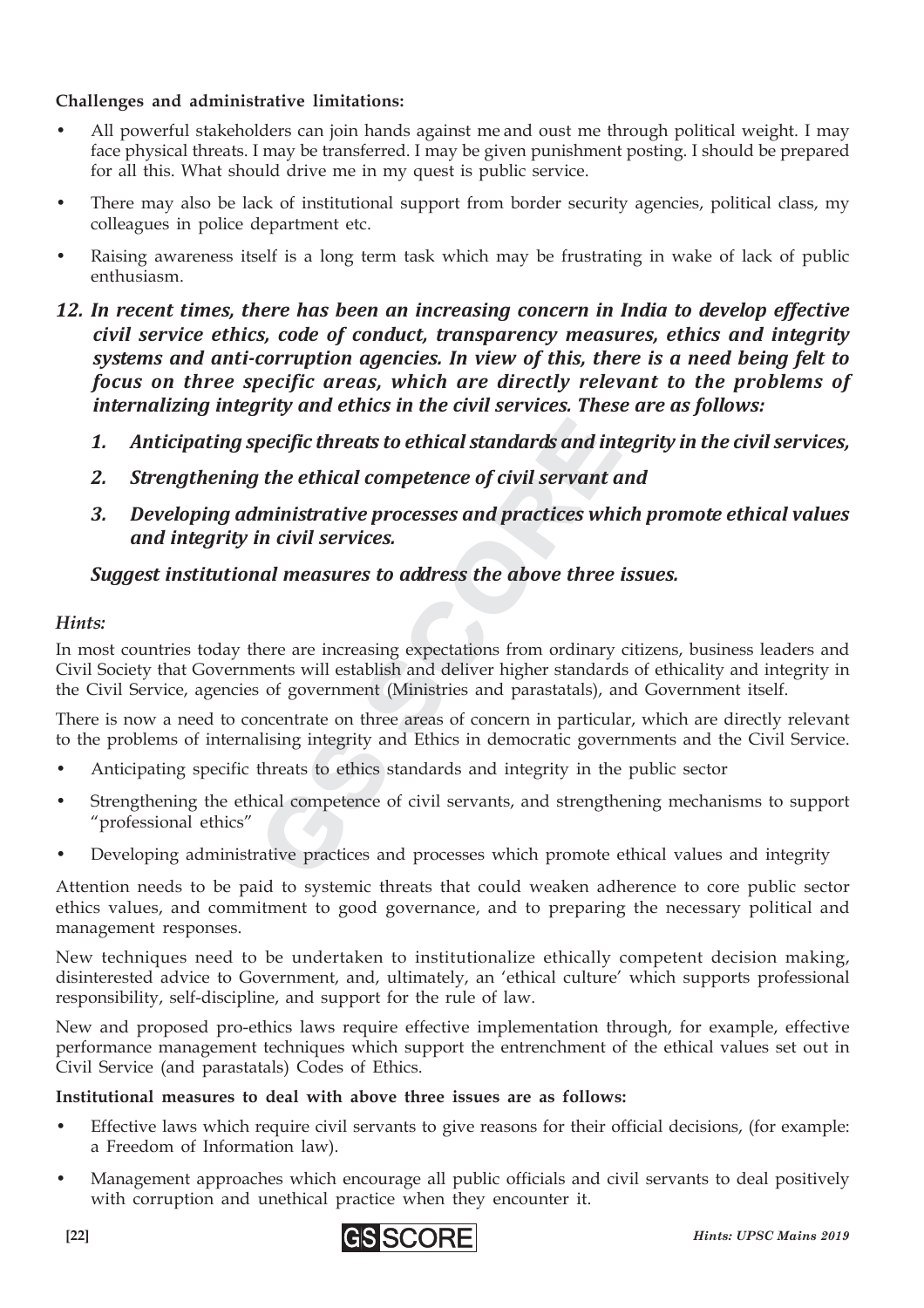#### **Challenges and administrative limitations:**

- All powerful stakeholders can join hands against me and oust me through political weight. I may face physical threats. I may be transferred. I may be given punishment posting. I should be prepared for all this. What should drive me in my quest is public service.
- There may also be lack of institutional support from border security agencies, political class, my colleagues in police department etc.
- Raising awareness itself is a long term task which may be frustrating in wake of lack of public enthusiasm.
- *12. In recent times, there has been an increasing concern in India to develop effective civil service ethics, code of conduct, transparency measures, ethics and integrity systems and anti-corruption agencies. In view of this, there is a need being felt to focus on three specific areas, which are directly relevant to the problems of internalizing integrity and ethics in the civil services. These are as follows:*
	- *1. Anticipating specific threats to ethical standards and integrity in the civil services,*
	- *2. Strengthening the ethical competence of civil servant and*
	- *3. Developing administrative processes and practices which promote ethical values and integrity in civil services.*

#### *Suggest institutional measures to address the above three issues.*

#### *Hints:*

pecific threats to ethical standards and in<br>
the ethical competence of civil servant<br>
liministrative processes and practices wh<br>
in civil services.<br>
and measures to address the above three<br>
here are increasing expectations **Decific threats to ethical standards and in**<br> **the ethical competence of civil servant c**<br> **ministrative processes and practices whin civil services.**<br> **all measures to address the above three**<br>
nere are increasing expect In most countries today there are increasing expectations from ordinary citizens, business leaders and Civil Society that Governments will establish and deliver higher standards of ethicality and integrity in the Civil Service, agencies of government (Ministries and parastatals), and Government itself.

There is now a need to concentrate on three areas of concern in particular, which are directly relevant to the problems of internalising integrity and Ethics in democratic governments and the Civil Service.

- Anticipating specific threats to ethics standards and integrity in the public sector
- Strengthening the ethical competence of civil servants, and strengthening mechanisms to support "professional ethics"
- Developing administrative practices and processes which promote ethical values and integrity

Attention needs to be paid to systemic threats that could weaken adherence to core public sector ethics values, and commitment to good governance, and to preparing the necessary political and management responses.

New techniques need to be undertaken to institutionalize ethically competent decision making, disinterested advice to Government, and, ultimately, an 'ethical culture' which supports professional responsibility, self-discipline, and support for the rule of law.

New and proposed pro-ethics laws require effective implementation through, for example, effective performance management techniques which support the entrenchment of the ethical values set out in Civil Service (and parastatals) Codes of Ethics.

#### **Institutional measures to deal with above three issues are as follows:**

- Effective laws which require civil servants to give reasons for their official decisions, (for example: a Freedom of Information law).
- Management approaches which encourage all public officials and civil servants to deal positively with corruption and unethical practice when they encounter it.